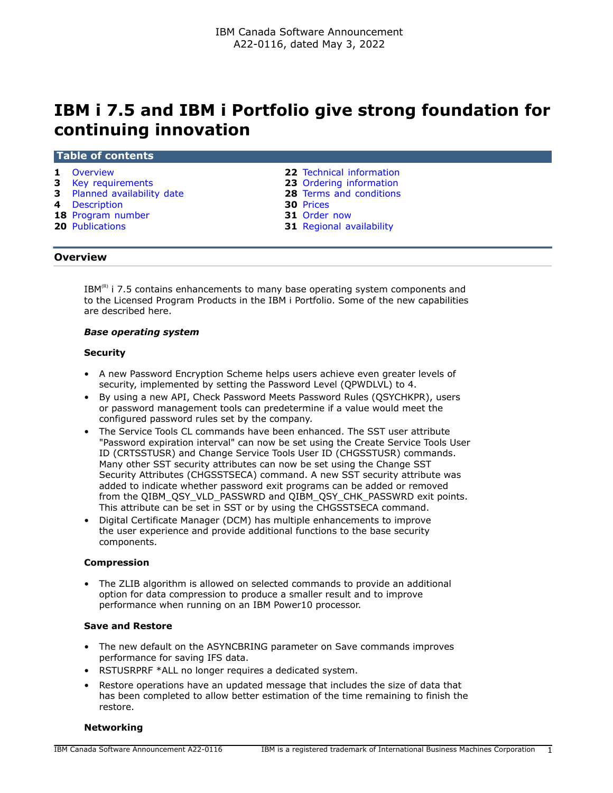# **IBM i 7.5 and IBM i Portfolio give strong foundation for continuing innovation**

#### **Table of contents**

- 
- **3** [Key requirements](#page-2-0) **23** [Ordering information](#page-22-0)
- **3** [Planned availability date](#page-2-1) **28** [Terms and conditions](#page-27-0)
- 
- **4** [Description](#page-3-0) **30** [Prices](#page-29-0) **18** [Program number](#page-17-0)
- 
- **1** [Overview](#page-0-0) **22** [Technical information](#page-21-0)
	-
	-
	-
	-
- **20** [Publications](#page-19-0) **31** [Regional availability](#page-30-1)

### <span id="page-0-0"></span>**Overview**

 $IBM<sup>(R)</sup>$  i 7.5 contains enhancements to many base operating system components and to the Licensed Program Products in the IBM i Portfolio. Some of the new capabilities are described here.

### *Base operating system*

### **Security**

- A new Password Encryption Scheme helps users achieve even greater levels of security, implemented by setting the Password Level (QPWDLVL) to 4.
- By using a new API, Check Password Meets Password Rules (QSYCHKPR), users or password management tools can predetermine if a value would meet the configured password rules set by the company.
- The Service Tools CL commands have been enhanced. The SST user attribute "Password expiration interval" can now be set using the Create Service Tools User ID (CRTSSTUSR) and Change Service Tools User ID (CHGSSTUSR) commands. Many other SST security attributes can now be set using the Change SST Security Attributes (CHGSSTSECA) command. A new SST security attribute was added to indicate whether password exit programs can be added or removed from the QIBM\_QSY\_VLD\_PASSWRD and QIBM\_QSY\_CHK\_PASSWRD exit points. This attribute can be set in SST or by using the CHGSSTSECA command.
- Digital Certificate Manager (DCM) has multiple enhancements to improve the user experience and provide additional functions to the base security components.

### **Compression**

• The ZLIB algorithm is allowed on selected commands to provide an additional option for data compression to produce a smaller result and to improve performance when running on an IBM Power10 processor.

### **Save and Restore**

- The new default on the ASYNCBRING parameter on Save commands improves performance for saving IFS data.
- RSTUSRPRF \*ALL no longer requires a dedicated system.
- Restore operations have an updated message that includes the size of data that has been completed to allow better estimation of the time remaining to finish the restore.

### **Networking**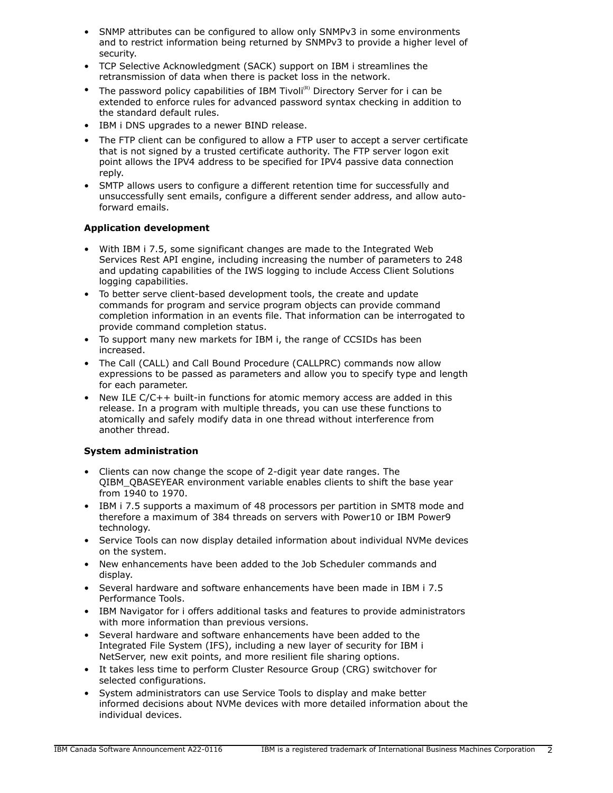- SNMP attributes can be configured to allow only SNMPv3 in some environments and to restrict information being returned by SNMPv3 to provide a higher level of security.
- TCP Selective Acknowledgment (SACK) support on IBM i streamlines the retransmission of data when there is packet loss in the network.
- The password policy capabilities of IBM Tivoli<sup>(R)</sup> Directory Server for i can be extended to enforce rules for advanced password syntax checking in addition to the standard default rules.
- IBM i DNS upgrades to a newer BIND release.
- The FTP client can be configured to allow a FTP user to accept a server certificate that is not signed by a trusted certificate authority. The FTP server logon exit point allows the IPV4 address to be specified for IPV4 passive data connection reply.
- SMTP allows users to configure a different retention time for successfully and unsuccessfully sent emails, configure a different sender address, and allow autoforward emails.

# **Application development**

- With IBM i 7.5, some significant changes are made to the Integrated Web Services Rest API engine, including increasing the number of parameters to 248 and updating capabilities of the IWS logging to include Access Client Solutions logging capabilities.
- To better serve client-based development tools, the create and update commands for program and service program objects can provide command completion information in an events file. That information can be interrogated to provide command completion status.
- To support many new markets for IBM i, the range of CCSIDs has been increased.
- The Call (CALL) and Call Bound Procedure (CALLPRC) commands now allow expressions to be passed as parameters and allow you to specify type and length for each parameter.
- New ILE C/C++ built-in functions for atomic memory access are added in this release. In a program with multiple threads, you can use these functions to atomically and safely modify data in one thread without interference from another thread.

# **System administration**

- Clients can now change the scope of 2-digit year date ranges. The QIBM\_QBASEYEAR environment variable enables clients to shift the base year from 1940 to 1970.
- IBM i 7.5 supports a maximum of 48 processors per partition in SMT8 mode and therefore a maximum of 384 threads on servers with Power10 or IBM Power9 technology.
- Service Tools can now display detailed information about individual NVMe devices on the system.
- New enhancements have been added to the Job Scheduler commands and display.
- Several hardware and software enhancements have been made in IBM i 7.5 Performance Tools.
- IBM Navigator for i offers additional tasks and features to provide administrators with more information than previous versions.
- Several hardware and software enhancements have been added to the Integrated File System (IFS), including a new layer of security for IBM i NetServer, new exit points, and more resilient file sharing options.
- It takes less time to perform Cluster Resource Group (CRG) switchover for selected configurations.
- System administrators can use Service Tools to display and make better informed decisions about NVMe devices with more detailed information about the individual devices.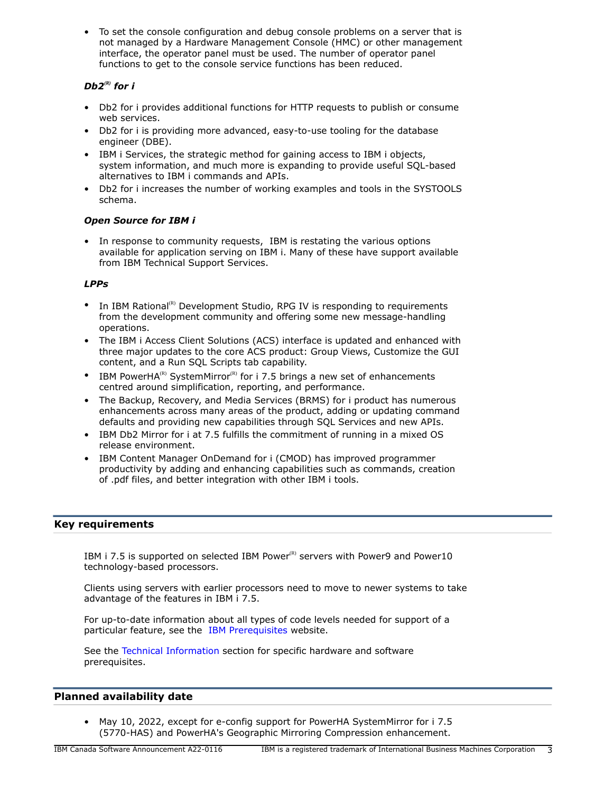• To set the console configuration and debug console problems on a server that is not managed by a Hardware Management Console (HMC) or other management interface, the operator panel must be used. The number of operator panel functions to get to the console service functions has been reduced.

# *Db2<sup>(R)</sup>* for *i*

- Db2 for i provides additional functions for HTTP requests to publish or consume web services.
- Db2 for i is providing more advanced, easy-to-use tooling for the database engineer (DBE).
- IBM i Services, the strategic method for gaining access to IBM i objects, system information, and much more is expanding to provide useful SQL-based alternatives to IBM i commands and APIs.
- Db2 for i increases the number of working examples and tools in the SYSTOOLS schema.

# *Open Source for IBM i*

• In response to community requests, IBM is restating the various options available for application serving on IBM i. Many of these have support available from IBM Technical Support Services.

# *LPPs*

- In IBM Rational<sup>(R)</sup> Development Studio, RPG IV is responding to requirements from the development community and offering some new message-handling operations.
- The IBM i Access Client Solutions (ACS) interface is updated and enhanced with three major updates to the core ACS product: Group Views, Customize the GUI content, and a Run SQL Scripts tab capability.
- IBM PowerHA<sup>(R)</sup> SystemMirror<sup>(R)</sup> for i 7.5 brings a new set of enhancements centred around simplification, reporting, and performance.
- The Backup, Recovery, and Media Services (BRMS) for i product has numerous enhancements across many areas of the product, adding or updating command defaults and providing new capabilities through SQL Services and new APIs.
- IBM Db2 Mirror for i at 7.5 fulfills the commitment of running in a mixed OS release environment.
- IBM Content Manager OnDemand for i (CMOD) has improved programmer productivity by adding and enhancing capabilities such as commands, creation of .pdf files, and better integration with other IBM i tools.

# <span id="page-2-0"></span>**Key requirements**

IBM i 7.5 is supported on selected IBM Power ${}^{(R)}$  servers with Power9 and Power10 technology-based processors.

Clients using servers with earlier processors need to move to newer systems to take advantage of the features in IBM i 7.5.

For up-to-date information about all types of code levels needed for support of a particular feature, see the [IBM Prerequisites](https://www.ibm.com/support/customercare/iprt/home) website.

See the [Technical Information](#page-21-0) section for specific hardware and software prerequisites.

# <span id="page-2-1"></span>**Planned availability date**

• May 10, 2022, except for e-config support for PowerHA SystemMirror for i 7.5 (5770-HAS) and PowerHA's Geographic Mirroring Compression enhancement.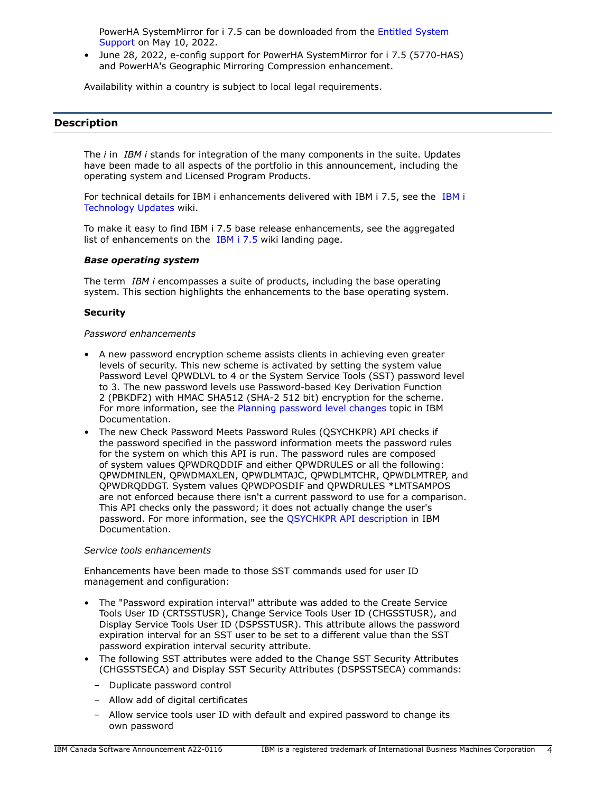PowerHA SystemMirror for i 7.5 can be downloaded from the [Entitled System](https://www.ibm.com/servers/eserver/ess/index.wss) [Support](https://www.ibm.com/servers/eserver/ess/index.wss) on May 10, 2022.

• June 28, 2022, e-config support for PowerHA SystemMirror for i 7.5 (5770-HAS) and PowerHA's Geographic Mirroring Compression enhancement.

Availability within a country is subject to local legal requirements.

# <span id="page-3-0"></span>**Description**

The *i* in *IBM i* stands for integration of the many components in the suite. Updates have been made to all aspects of the portfolio in this announcement, including the operating system and Licensed Program Products.

For technical details for IBM i enhancements delivered with IBM i 7.5, see the [IBM i](https://www.ibm.com/support/pages/node/1119129) [Technology Updates](https://www.ibm.com/support/pages/node/1119129) wiki.

To make it easy to find IBM i 7.5 base release enhancements, see the aggregated list of enhancements on the [IBM i 7.5](https://www.ibm.com/support/pages/ibm-i-75-base-enhancements) wiki landing page.

### *Base operating system*

The term *IBM i* encompasses a suite of products, including the base operating system. This section highlights the enhancements to the base operating system.

### **Security**

### *Password enhancements*

- A new password encryption scheme assists clients in achieving even greater levels of security. This new scheme is activated by setting the system value Password Level QPWDLVL to 4 or the System Service Tools (SST) password level to 3. The new password levels use Password-based Key Derivation Function 2 (PBKDF2) with HMAC SHA512 (SHA-2 512 bit) encryption for the scheme. For more information, see the [Planning password level changes](https://www.ibm.com/docs/en/i/7.5?topic=security-planning-password-level-changes) topic in IBM Documentation.
- The new Check Password Meets Password Rules (QSYCHKPR) API checks if the password specified in the password information meets the password rules for the system on which this API is run. The password rules are composed of system values QPWDRQDDIF and either QPWDRULES or all the following: QPWDMINLEN, QPWDMAXLEN, QPWDLMTAJC, QPWDLMTCHR, QPWDLMTREP, and QPWDRQDDGT. System values QPWDPOSDIF and QPWDRULES \*LMTSAMPOS are not enforced because there isn't a current password to use for a comparison. This API checks only the password; it does not actually change the user's password. For more information, see the [QSYCHKPR API description](https://www.ibm.com/docs/en/i/7.5?topic=ssw_ibm_i_75/apis/qsychkpr.htm) in IBM Documentation.

### *Service tools enhancements*

Enhancements have been made to those SST commands used for user ID management and configuration:

- The "Password expiration interval" attribute was added to the Create Service Tools User ID (CRTSSTUSR), Change Service Tools User ID (CHGSSTUSR), and Display Service Tools User ID (DSPSSTUSR). This attribute allows the password expiration interval for an SST user to be set to a different value than the SST password expiration interval security attribute.
- The following SST attributes were added to the Change SST Security Attributes (CHGSSTSECA) and Display SST Security Attributes (DSPSSTSECA) commands:
	- Duplicate password control
	- Allow add of digital certificates
	- Allow service tools user ID with default and expired password to change its own password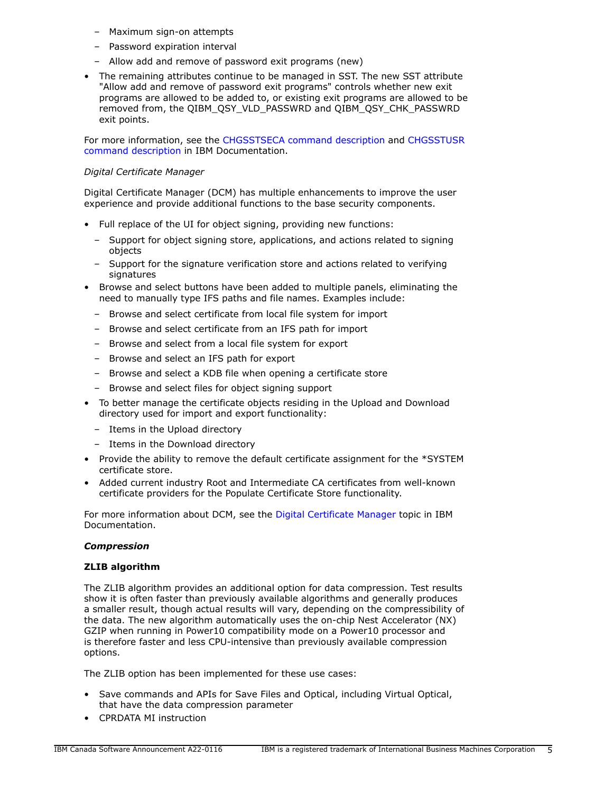- Maximum sign-on attempts
- Password expiration interval
- Allow add and remove of password exit programs (new)
- The remaining attributes continue to be managed in SST. The new SST attribute "Allow add and remove of password exit programs" controls whether new exit programs are allowed to be added to, or existing exit programs are allowed to be removed from, the QIBM\_QSY\_VLD\_PASSWRD and QIBM\_QSY\_CHK\_PASSWRD exit points.

For more information, see the [CHGSSTSECA command description](https://www.ibm.com/docs/en/i/7.5?topic=ssw_ibm_i_75/cl/chgsstseca.htm) and [CHGSSTUSR](https://www.ibm.com/docs/en/i/7.5?topic=ssw_ibm_i_75/cl/chgsstusr.htm) [command description](https://www.ibm.com/docs/en/i/7.5?topic=ssw_ibm_i_75/cl/chgsstusr.htm) in IBM Documentation.

# *Digital Certificate Manager*

Digital Certificate Manager (DCM) has multiple enhancements to improve the user experience and provide additional functions to the base security components.

- Full replace of the UI for object signing, providing new functions:
	- Support for object signing store, applications, and actions related to signing objects
	- Support for the signature verification store and actions related to verifying signatures
- Browse and select buttons have been added to multiple panels, eliminating the need to manually type IFS paths and file names. Examples include:
	- Browse and select certificate from local file system for import
	- Browse and select certificate from an IFS path for import
	- Browse and select from a local file system for export
	- Browse and select an IFS path for export
	- Browse and select a KDB file when opening a certificate store
	- Browse and select files for object signing support
- To better manage the certificate objects residing in the Upload and Download directory used for import and export functionality:
	- Items in the Upload directory
	- Items in the Download directory
- Provide the ability to remove the default certificate assignment for the \*SYSTEM certificate store.
- Added current industry Root and Intermediate CA certificates from well-known certificate providers for the Populate Certificate Store functionality.

For more information about DCM, see the [Digital Certificate Manager](https://www.ibm.com/docs/en/i/7.5?topic=security-digital-certificate-manager) topic in IBM Documentation.

# *Compression*

# **ZLIB algorithm**

The ZLIB algorithm provides an additional option for data compression. Test results show it is often faster than previously available algorithms and generally produces a smaller result, though actual results will vary, depending on the compressibility of the data. The new algorithm automatically uses the on-chip Nest Accelerator (NX) GZIP when running in Power10 compatibility mode on a Power10 processor and is therefore faster and less CPU-intensive than previously available compression options.

The ZLIB option has been implemented for these use cases:

- Save commands and APIs for Save Files and Optical, including Virtual Optical, that have the data compression parameter
- CPRDATA MI instruction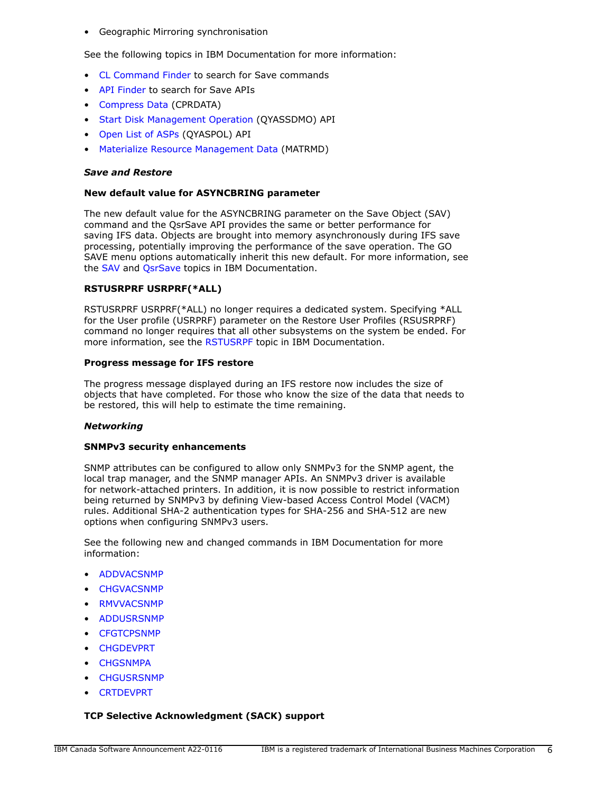• Geographic Mirroring synchronisation

See the following topics in IBM Documentation for more information:

- [CL Command Finder](https://www.ibm.com/docs/en/i/7.5?topic=language-cl-command-finder) to search for Save commands
- [API Finder](https://www.ibm.com/docs/en/i/7.5?topic=interfaces-api-finder) to search for Save APIs
- [Compress Data](https://www.ibm.com/docs/en/i/7.5?topic=instructions-compress-data-cprdata) (CPRDATA)
- [Start Disk Management Operation](https://www.ibm.com/docs/en/i/7.5?topic=ssw_ibm_i_75/apis/qyassdmo.htm) (QYASSDMO) API
- [Open List of ASPs](https://www.ibm.com/docs/en/i/7.5?topic=ssw_ibm_i_75/apis/qyaspol.htm) (QYASPOL) API
- [Materialize Resource Management Data](https://www.ibm.com/docs/en/i/7.5?topic=instructions-materialize-resource-management-data-matrmd) (MATRMD)

### *Save and Restore*

### **New default value for ASYNCBRING parameter**

The new default value for the ASYNCBRING parameter on the Save Object (SAV) command and the QsrSave API provides the same or better performance for saving IFS data. Objects are brought into memory asynchronously during IFS save processing, potentially improving the performance of the save operation. The GO SAVE menu options automatically inherit this new default. For more information, see the [SAV](https://www.ibm.com/docs/en/i/7.5?topic=ssw_ibm_i_75/cl/sav.htm) and [QsrSave](https://www.ibm.com/docs/en/i/7.5?topic=ssw_ibm_i_75/apis/QsrSave.htm) topics in IBM Documentation.

### **RSTUSRPRF USRPRF(\*ALL)**

RSTUSRPRF USRPRF(\*ALL) no longer requires a dedicated system. Specifying \*ALL for the User profile (USRPRF) parameter on the Restore User Profiles (RSUSRPRF) command no longer requires that all other subsystems on the system be ended. For more information, see the [RSTUSRPF](https://www.ibm.com/docs/en/i/7.5?topic=ssw_ibm_i_75/cl/rstusrprf.htm) topic in IBM Documentation.

### **Progress message for IFS restore**

The progress message displayed during an IFS restore now includes the size of objects that have completed. For those who know the size of the data that needs to be restored, this will help to estimate the time remaining.

### *Networking*

### **SNMPv3 security enhancements**

SNMP attributes can be configured to allow only SNMPv3 for the SNMP agent, the local trap manager, and the SNMP manager APIs. An SNMPv3 driver is available for network-attached printers. In addition, it is now possible to restrict information being returned by SNMPv3 by defining View-based Access Control Model (VACM) rules. Additional SHA-2 authentication types for SHA-256 and SHA-512 are new options when configuring SNMPv3 users.

See the following new and changed commands in IBM Documentation for more information:

- [ADDVACSNMP](https://www.ibm.com/docs/api/v1/content/ssw_ibm_i_75/cl/addvacsnmp.htm)
- [CHGVACSNMP](https://www.ibm.com/docs/api/v1/content/ssw_ibm_i_75/cl/chgvacsnmp.htm)
- [RMVVACSNMP](https://www.ibm.com/docs/api/v1/content/ssw_ibm_i_75/cl/rmvvacsnmp.htm)
- [ADDUSRSNMP](https://www.ibm.com/docs/api/v1/content/ssw_ibm_i_75/cl/addusrsnmp.htm)
- **[CFGTCPSNMP](https://www.ibm.com/docs/api/v1/content/ssw_ibm_i_75/cl/cfgtcpsnmp.htm)**
- [CHGDEVPRT](https://www.ibm.com/docs/api/v1/content/ssw_ibm_i_75/cl/chgdevprt.htm)
- **[CHGSNMPA](https://www.ibm.com/docs/api/v1/content/ssw_ibm_i_75/cl/chgsnmpa.htm)**
- **[CHGUSRSNMP](https://www.ibm.com/docs/api/v1/content/ssw_ibm_i_75/cl/chgusrsnmp.htm)**
- [CRTDEVPRT](https://www.ibm.com/docs/api/v1/content/ssw_ibm_i_75/cl/crtdevprt.htm)

# **TCP Selective Acknowledgment (SACK) support**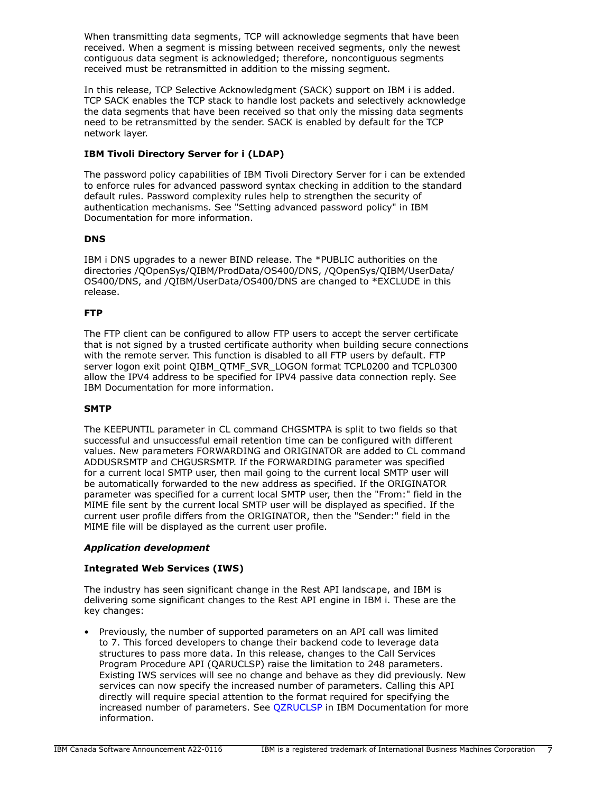When transmitting data segments, TCP will acknowledge segments that have been received. When a segment is missing between received segments, only the newest contiguous data segment is acknowledged; therefore, noncontiguous segments received must be retransmitted in addition to the missing segment.

In this release, TCP Selective Acknowledgment (SACK) support on IBM i is added. TCP SACK enables the TCP stack to handle lost packets and selectively acknowledge the data segments that have been received so that only the missing data segments need to be retransmitted by the sender. SACK is enabled by default for the TCP network layer.

# **IBM Tivoli Directory Server for i (LDAP)**

The password policy capabilities of IBM Tivoli Directory Server for i can be extended to enforce rules for advanced password syntax checking in addition to the standard default rules. Password complexity rules help to strengthen the security of authentication mechanisms. See "Setting advanced password policy" in IBM Documentation for more information.

# **DNS**

IBM i DNS upgrades to a newer BIND release. The \*PUBLIC authorities on the directories /QOpenSys/QIBM/ProdData/OS400/DNS, /QOpenSys/QIBM/UserData/ OS400/DNS, and /QIBM/UserData/OS400/DNS are changed to \*EXCLUDE in this release.

# **FTP**

The FTP client can be configured to allow FTP users to accept the server certificate that is not signed by a trusted certificate authority when building secure connections with the remote server. This function is disabled to all FTP users by default. FTP server logon exit point QIBM\_QTMF\_SVR\_LOGON format TCPL0200 and TCPL0300 allow the IPV4 address to be specified for IPV4 passive data connection reply. See IBM Documentation for more information.

# **SMTP**

The KEEPUNTIL parameter in CL command CHGSMTPA is split to two fields so that successful and unsuccessful email retention time can be configured with different values. New parameters FORWARDING and ORIGINATOR are added to CL command ADDUSRSMTP and CHGUSRSMTP. If the FORWARDING parameter was specified for a current local SMTP user, then mail going to the current local SMTP user will be automatically forwarded to the new address as specified. If the ORIGINATOR parameter was specified for a current local SMTP user, then the "From:" field in the MIME file sent by the current local SMTP user will be displayed as specified. If the current user profile differs from the ORIGINATOR, then the "Sender:" field in the MIME file will be displayed as the current user profile.

# *Application development*

# **Integrated Web Services (IWS)**

The industry has seen significant change in the Rest API landscape, and IBM is delivering some significant changes to the Rest API engine in IBM i. These are the key changes:

• Previously, the number of supported parameters on an API call was limited to 7. This forced developers to change their backend code to leverage data structures to pass more data. In this release, changes to the Call Services Program Procedure API (QARUCLSP) raise the limitation to 248 parameters. Existing IWS services will see no change and behave as they did previously. New services can now specify the increased number of parameters. Calling this API directly will require special attention to the format required for specifying the increased number of parameters. See [QZRUCLSP](https://www.ibm.com/docs/en/i/7.5?topic=ssw_ibm_i_75/apis/qzruclsp.htm) in IBM Documentation for more information.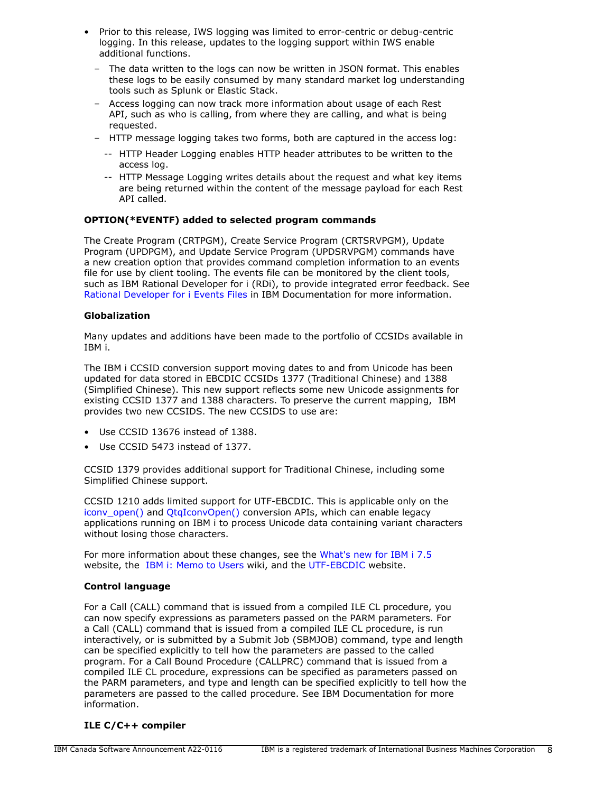- Prior to this release, IWS logging was limited to error-centric or debug-centric logging. In this release, updates to the logging support within IWS enable additional functions.
	- The data written to the logs can now be written in JSON format. This enables these logs to be easily consumed by many standard market log understanding tools such as Splunk or Elastic Stack.
	- Access logging can now track more information about usage of each Rest API, such as who is calling, from where they are calling, and what is being requested.
	- HTTP message logging takes two forms, both are captured in the access log:
		- -- HTTP Header Logging enables HTTP header attributes to be written to the access log.
		- -- HTTP Message Logging writes details about the request and what key items are being returned within the content of the message payload for each Rest API called.

# **OPTION(\*EVENTF) added to selected program commands**

The Create Program (CRTPGM), Create Service Program (CRTSRVPGM), Update Program (UPDPGM), and Update Service Program (UPDSRVPGM) commands have a new creation option that provides command completion information to an events file for use by client tooling. The events file can be monitored by the client tools, such as IBM Rational Developer for i (RDi), to provide integrated error feedback. See [Rational Developer for i Events Files](https://www.ibm.com/docs/en/rdfi/9.6.0?topic=reference-events-file-format) in IBM Documentation for more information.

# **Globalization**

Many updates and additions have been made to the portfolio of CCSIDs available in IBM i.

The IBM i CCSID conversion support moving dates to and from Unicode has been updated for data stored in EBCDIC CCSIDs 1377 (Traditional Chinese) and 1388 (Simplified Chinese). This new support reflects some new Unicode assignments for existing CCSID 1377 and 1388 characters. To preserve the current mapping, IBM provides two new CCSIDS. The new CCSIDS to use are:

- Use CCSID 13676 instead of 1388.
- Use CCSID 5473 instead of 1377.

CCSID 1379 provides additional support for Traditional Chinese, including some Simplified Chinese support.

CCSID 1210 adds limited support for UTF-EBCDIC. This is applicable only on the [iconv\\_open\(\)](https://www.ibm.com/docs/en/i/7.5?topic=ssw_ibm_i_75/apis/iconvopn.htm) and [QtqIconvOpen\(\)](https://www.ibm.com/docs/en/i/7.5?topic=ssw_ibm_i_75/apis/QTQICONV.htm) conversion APIs, which can enable legacy applications running on IBM i to process Unicode data containing variant characters without losing those characters.

For more information about these changes, see the [What's new for IBM i 7.5](https://www.ibm.com/docs/en/i/7.5?topic=globalization-whats-new-i-75) website, the [IBM i: Memo to Users](https://www.ibm.com/docs/en/i/7.5?topic=documentation-memo-users) wiki, and the [UTF-EBCDIC](https://www.ibm.com/docs/en/i/7.5?topic=unicode-utf-ebcdic) website.

# **Control language**

For a Call (CALL) command that is issued from a compiled ILE CL procedure, you can now specify expressions as parameters passed on the PARM parameters. For a Call (CALL) command that is issued from a compiled ILE CL procedure, is run interactively, or is submitted by a Submit Job (SBMJOB) command, type and length can be specified explicitly to tell how the parameters are passed to the called program. For a Call Bound Procedure (CALLPRC) command that is issued from a compiled ILE CL procedure, expressions can be specified as parameters passed on the PARM parameters, and type and length can be specified explicitly to tell how the parameters are passed to the called procedure. See IBM Documentation for more information.

# **ILE C/C++ compiler**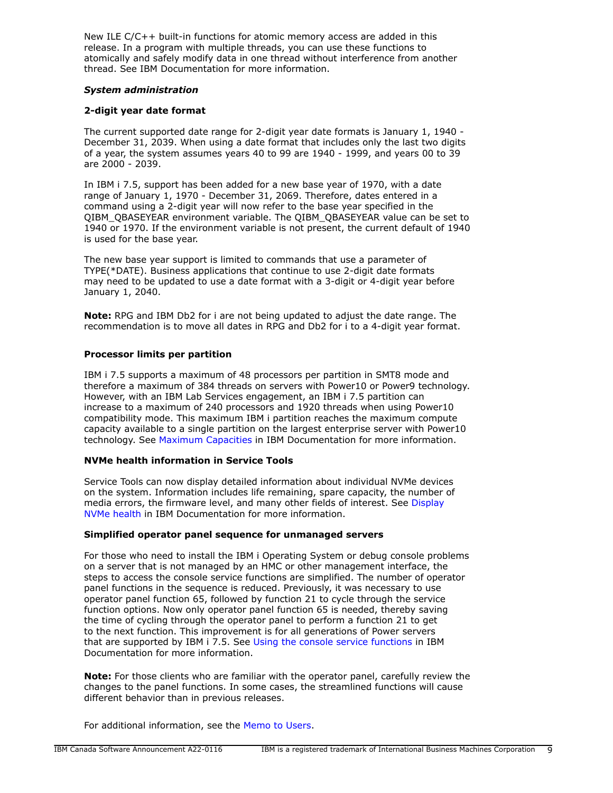New ILE C/C++ built-in functions for atomic memory access are added in this release. In a program with multiple threads, you can use these functions to atomically and safely modify data in one thread without interference from another thread. See IBM Documentation for more information.

### *System administration*

### **2-digit year date format**

The current supported date range for 2-digit year date formats is January 1, 1940 - December 31, 2039. When using a date format that includes only the last two digits of a year, the system assumes years 40 to 99 are 1940 - 1999, and years 00 to 39 are 2000 - 2039.

In IBM i 7.5, support has been added for a new base year of 1970, with a date range of January 1, 1970 - December 31, 2069. Therefore, dates entered in a command using a 2-digit year will now refer to the base year specified in the QIBM\_QBASEYEAR environment variable. The QIBM\_QBASEYEAR value can be set to 1940 or 1970. If the environment variable is not present, the current default of 1940 is used for the base year.

The new base year support is limited to commands that use a parameter of TYPE(\*DATE). Business applications that continue to use 2-digit date formats may need to be updated to use a date format with a 3-digit or 4-digit year before January 1, 2040.

**Note:** RPG and IBM Db2 for i are not being updated to adjust the date range. The recommendation is to move all dates in RPG and Db2 for i to a 4-digit year format.

### **Processor limits per partition**

IBM i 7.5 supports a maximum of 48 processors per partition in SMT8 mode and therefore a maximum of 384 threads on servers with Power10 or Power9 technology. However, with an IBM Lab Services engagement, an IBM i 7.5 partition can increase to a maximum of 240 processors and 1920 threads when using Power10 compatibility mode. This maximum IBM i partition reaches the maximum compute capacity available to a single partition on the largest enterprise server with Power10 technology. See [Maximum Capacities](https://www.ibm.com/docs/en/i/7.5?topic=availability-maximum-capacities) in IBM Documentation for more information.

# **NVMe health information in Service Tools**

Service Tools can now display detailed information about individual NVMe devices on the system. Information includes life remaining, spare capacity, the number of media errors, the firmware level, and many other fields of interest. See [Display](https://www.ibm.com/docs/en/i/7.5?topic=nvme-display-health) [NVMe health](https://www.ibm.com/docs/en/i/7.5?topic=nvme-display-health) in IBM Documentation for more information.

### **Simplified operator panel sequence for unmanaged servers**

For those who need to install the IBM i Operating System or debug console problems on a server that is not managed by an HMC or other management interface, the steps to access the console service functions are simplified. The number of operator panel functions in the sequence is reduced. Previously, it was necessary to use operator panel function 65, followed by function 21 to cycle through the service function options. Now only operator panel function 65 is needed, thereby saving the time of cycling through the operator panel to perform a function 21 to get to the next function. This improvement is for all generations of Power servers that are supported by IBM i 7.5. See [Using the console service functions](https://www.ibm.com/docs/en/i/7.5?topic=network-using-console-service-functions) in IBM Documentation for more information.

**Note:** For those clients who are familiar with the operator panel, carefully review the changes to the panel functions. In some cases, the streamlined functions will cause different behavior than in previous releases.

For additional information, see the [Memo to Users.](https://www.ibm.com/docs/en/i/7.5?topic=documentation-memo-users)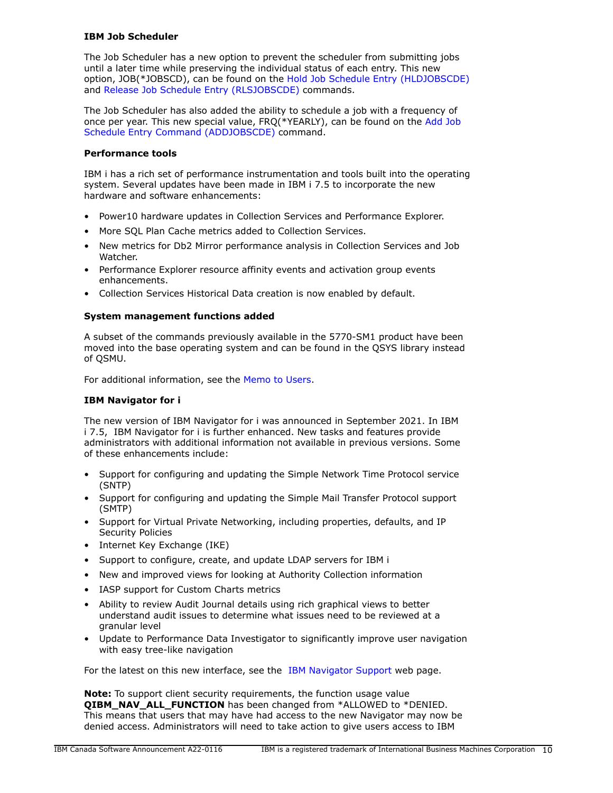# **IBM Job Scheduler**

The Job Scheduler has a new option to prevent the scheduler from submitting jobs until a later time while preserving the individual status of each entry. This new option, JOB(\*JOBSCD), can be found on the [Hold Job Schedule Entry \(HLDJOBSCDE\)](https://www.ibm.com/docs/api/v1/content/ssw_ibm_i_75/cl/hldjobscde.htm) and [Release Job Schedule Entry \(RLSJOBSCDE\)](https://www.ibm.com/docs/api/v1/content/ssw_ibm_i_75/cl/rlsjobscde.htm) commands.

The Job Scheduler has also added the ability to schedule a job with a frequency of once per year. This new special value, FRQ(\*YEARLY), can be found on the [Add Job](https://www.ibm.com/docs/api/v1/content/ssw_ibm_i_75/cl/addjobscde.htm) [Schedule Entry Command \(ADDJOBSCDE\)](https://www.ibm.com/docs/api/v1/content/ssw_ibm_i_75/cl/addjobscde.htm) command.

# **Performance tools**

IBM i has a rich set of performance instrumentation and tools built into the operating system. Several updates have been made in IBM i 7.5 to incorporate the new hardware and software enhancements:

- Power10 hardware updates in Collection Services and Performance Explorer.
- More SQL Plan Cache metrics added to Collection Services.
- New metrics for Db2 Mirror performance analysis in Collection Services and Job Watcher.
- Performance Explorer resource affinity events and activation group events enhancements.
- Collection Services Historical Data creation is now enabled by default.

# **System management functions added**

A subset of the commands previously available in the 5770-SM1 product have been moved into the base operating system and can be found in the QSYS library instead of QSMU.

For additional information, see the [Memo to Users.](https://www.ibm.com/docs/en/i/7.5?topic=documentation-memo-users)

# **IBM Navigator for i**

The new version of IBM Navigator for i was announced in September 2021. In IBM i 7.5, IBM Navigator for i is further enhanced. New tasks and features provide administrators with additional information not available in previous versions. Some of these enhancements include:

- Support for configuring and updating the Simple Network Time Protocol service (SNTP)
- Support for configuring and updating the Simple Mail Transfer Protocol support (SMTP)
- Support for Virtual Private Networking, including properties, defaults, and IP Security Policies
- Internet Key Exchange (IKE)
- Support to configure, create, and update LDAP servers for IBM i
- New and improved views for looking at Authority Collection information
- IASP support for Custom Charts metrics
- Ability to review Audit Journal details using rich graphical views to better understand audit issues to determine what issues need to be reviewed at a granular level
- Update to Performance Data Investigator to significantly improve user navigation with easy tree-like navigation

For the latest on this new interface, see the [IBM Navigator Support](https://www.ibm.com/support/pages/node/6483299) web page.

**Note:** To support client security requirements, the function usage value **QIBM\_NAV\_ALL\_FUNCTION** has been changed from \*ALLOWED to \*DENIED. This means that users that may have had access to the new Navigator may now be denied access. Administrators will need to take action to give users access to IBM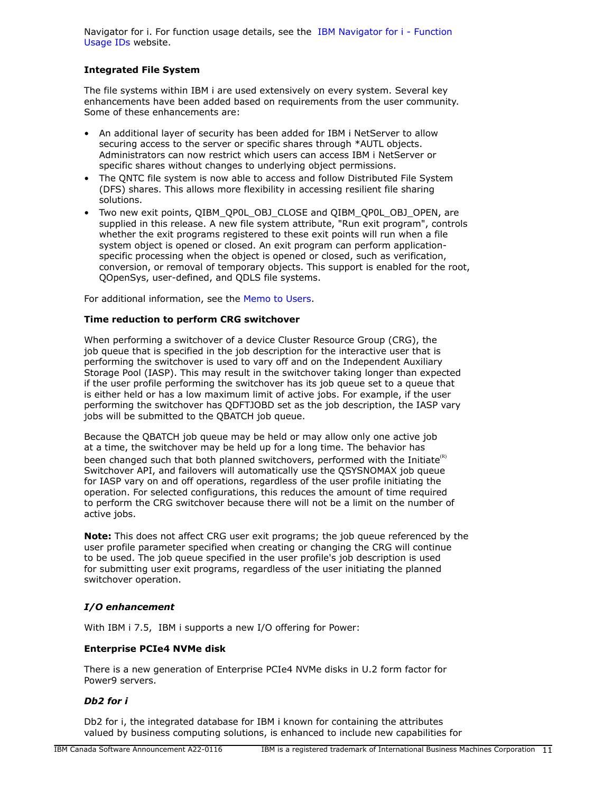Navigator for i. For function usage details, see the [IBM Navigator for i - Function](https://www.ibm.com/support/pages/node/6485853) [Usage IDs](https://www.ibm.com/support/pages/node/6485853) website.

# **Integrated File System**

The file systems within IBM i are used extensively on every system. Several key enhancements have been added based on requirements from the user community. Some of these enhancements are:

- An additional layer of security has been added for IBM i NetServer to allow securing access to the server or specific shares through \*AUTL objects. Administrators can now restrict which users can access IBM i NetServer or specific shares without changes to underlying object permissions.
- The QNTC file system is now able to access and follow Distributed File System (DFS) shares. This allows more flexibility in accessing resilient file sharing solutions.
- Two new exit points, QIBM\_QP0L\_OBJ\_CLOSE and QIBM\_QP0L\_OBJ\_OPEN, are supplied in this release. A new file system attribute, "Run exit program", controls whether the exit programs registered to these exit points will run when a file system object is opened or closed. An exit program can perform applicationspecific processing when the object is opened or closed, such as verification, conversion, or removal of temporary objects. This support is enabled for the root, QOpenSys, user-defined, and QDLS file systems.

For additional information, see the [Memo to Users.](https://www.ibm.com/docs/en/i/7.5?topic=documentation-memo-users)

### **Time reduction to perform CRG switchover**

When performing a switchover of a device Cluster Resource Group (CRG), the job queue that is specified in the job description for the interactive user that is performing the switchover is used to vary off and on the Independent Auxiliary Storage Pool (IASP). This may result in the switchover taking longer than expected if the user profile performing the switchover has its job queue set to a queue that is either held or has a low maximum limit of active jobs. For example, if the user performing the switchover has QDFTJOBD set as the job description, the IASP vary jobs will be submitted to the QBATCH job queue.

Because the QBATCH job queue may be held or may allow only one active job at a time, the switchover may be held up for a long time. The behavior has been changed such that both planned switchovers, performed with the Initiate $\mathbf{R}^{(R)}$ Switchover API, and failovers will automatically use the QSYSNOMAX job queue for IASP vary on and off operations, regardless of the user profile initiating the operation. For selected configurations, this reduces the amount of time required to perform the CRG switchover because there will not be a limit on the number of active jobs.

**Note:** This does not affect CRG user exit programs; the job queue referenced by the user profile parameter specified when creating or changing the CRG will continue to be used. The job queue specified in the user profile's job description is used for submitting user exit programs, regardless of the user initiating the planned switchover operation.

# *I/O enhancement*

With IBM i 7.5, IBM i supports a new I/O offering for Power:

# **Enterprise PCIe4 NVMe disk**

There is a new generation of Enterprise PCIe4 NVMe disks in U.2 form factor for Power9 servers.

# *Db2 for i*

Db2 for i, the integrated database for IBM i known for containing the attributes valued by business computing solutions, is enhanced to include new capabilities for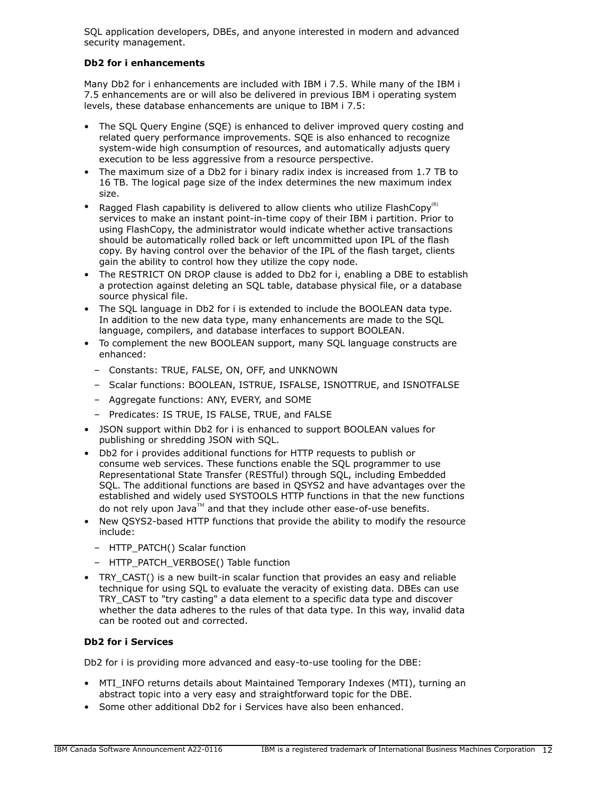SQL application developers, DBEs, and anyone interested in modern and advanced security management.

# **Db2 for i enhancements**

Many Db2 for i enhancements are included with IBM i 7.5. While many of the IBM i 7.5 enhancements are or will also be delivered in previous IBM i operating system levels, these database enhancements are unique to IBM i 7.5:

- The SQL Query Engine (SQE) is enhanced to deliver improved query costing and related query performance improvements. SQE is also enhanced to recognize system-wide high consumption of resources, and automatically adjusts query execution to be less aggressive from a resource perspective.
- The maximum size of a Db2 for i binary radix index is increased from 1.7 TB to 16 TB. The logical page size of the index determines the new maximum index size.
- Ragged Flash capability is delivered to allow clients who utilize FlashCopy<sup>(R)</sup> services to make an instant point-in-time copy of their IBM i partition. Prior to using FlashCopy, the administrator would indicate whether active transactions should be automatically rolled back or left uncommitted upon IPL of the flash copy. By having control over the behavior of the IPL of the flash target, clients gain the ability to control how they utilize the copy node.
- The RESTRICT ON DROP clause is added to Db2 for i, enabling a DBE to establish a protection against deleting an SQL table, database physical file, or a database source physical file.
- The SQL language in Db2 for i is extended to include the BOOLEAN data type. In addition to the new data type, many enhancements are made to the SQL language, compilers, and database interfaces to support BOOLEAN.
- To complement the new BOOLEAN support, many SQL language constructs are enhanced:
	- Constants: TRUE, FALSE, ON, OFF, and UNKNOWN
	- Scalar functions: BOOLEAN, ISTRUE, ISFALSE, ISNOTTRUE, and ISNOTFALSE
	- Aggregate functions: ANY, EVERY, and SOME
	- Predicates: IS TRUE, IS FALSE, TRUE, and FALSE
- JSON support within Db2 for i is enhanced to support BOOLEAN values for publishing or shredding JSON with SQL.
- Db2 for i provides additional functions for HTTP requests to publish or consume web services. These functions enable the SQL programmer to use Representational State Transfer (RESTful) through SQL, including Embedded SQL. The additional functions are based in QSYS2 and have advantages over the established and widely used SYSTOOLS HTTP functions in that the new functions do not rely upon Java™ and that they include other ease-of-use benefits.
- New QSYS2-based HTTP functions that provide the ability to modify the resource include:
	- HTTP\_PATCH() Scalar function
	- HTTP\_PATCH\_VERBOSE() Table function
- TRY\_CAST() is a new built-in scalar function that provides an easy and reliable technique for using SQL to evaluate the veracity of existing data. DBEs can use TRY\_CAST to "try casting" a data element to a specific data type and discover whether the data adheres to the rules of that data type. In this way, invalid data can be rooted out and corrected.

# **Db2 for i Services**

Db2 for i is providing more advanced and easy-to-use tooling for the DBE:

- MTI\_INFO returns details about Maintained Temporary Indexes (MTI), turning an abstract topic into a very easy and straightforward topic for the DBE.
- Some other additional Db2 for i Services have also been enhanced.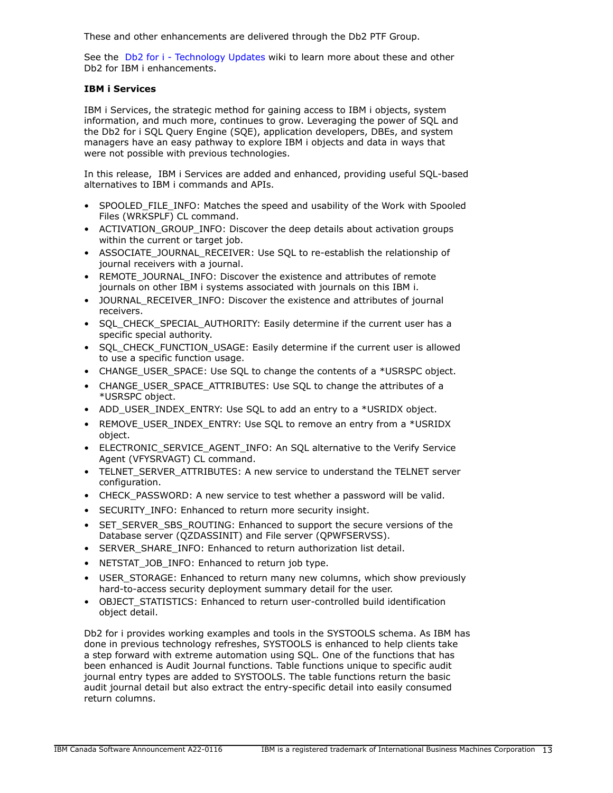These and other enhancements are delivered through the Db2 PTF Group.

See the [Db2 for i - Technology Updates](http://www.ibm.com/ibmi/techupdates/db2) wiki to learn more about these and other Db2 for IBM i enhancements.

# **IBM i Services**

IBM i Services, the strategic method for gaining access to IBM i objects, system information, and much more, continues to grow. Leveraging the power of SQL and the Db2 for i SQL Query Engine (SQE), application developers, DBEs, and system managers have an easy pathway to explore IBM i objects and data in ways that were not possible with previous technologies.

In this release, IBM i Services are added and enhanced, providing useful SQL-based alternatives to IBM i commands and APIs.

- SPOOLED FILE INFO: Matches the speed and usability of the Work with Spooled Files (WRKSPLF) CL command.
- ACTIVATION\_GROUP\_INFO: Discover the deep details about activation groups within the current or target job.
- ASSOCIATE\_JOURNAL\_RECEIVER: Use SQL to re-establish the relationship of journal receivers with a journal.
- REMOTE\_JOURNAL\_INFO: Discover the existence and attributes of remote journals on other IBM i systems associated with journals on this IBM i.
- JOURNAL\_RECEIVER\_INFO: Discover the existence and attributes of journal receivers.
- SQL\_CHECK\_SPECIAL\_AUTHORITY: Easily determine if the current user has a specific special authority.
- SQL\_CHECK\_FUNCTION\_USAGE: Easily determine if the current user is allowed to use a specific function usage.
- CHANGE\_USER\_SPACE: Use SQL to change the contents of a \*USRSPC object.
- CHANGE\_USER\_SPACE\_ATTRIBUTES: Use SOL to change the attributes of a \*USRSPC object.
- ADD\_USER\_INDEX\_ENTRY: Use SQL to add an entry to a \*USRIDX object.
- REMOVE\_USER\_INDEX\_ENTRY: Use SOL to remove an entry from a \*USRIDX object.
- ELECTRONIC SERVICE AGENT INFO: An SQL alternative to the Verify Service Agent (VFYSRVAGT) CL command.
- TELNET SERVER ATTRIBUTES: A new service to understand the TELNET server configuration.
- CHECK PASSWORD: A new service to test whether a password will be valid.
- SECURITY\_INFO: Enhanced to return more security insight.
- SET\_SERVER\_SBS\_ROUTING: Enhanced to support the secure versions of the Database server (QZDASSINIT) and File server (QPWFSERVSS).
- SERVER SHARE INFO: Enhanced to return authorization list detail.
- NETSTAT\_JOB\_INFO: Enhanced to return job type.
- USER\_STORAGE: Enhanced to return many new columns, which show previously hard-to-access security deployment summary detail for the user.
- OBJECT STATISTICS: Enhanced to return user-controlled build identification object detail.

Db2 for i provides working examples and tools in the SYSTOOLS schema. As IBM has done in previous technology refreshes, SYSTOOLS is enhanced to help clients take a step forward with extreme automation using SQL. One of the functions that has been enhanced is Audit Journal functions. Table functions unique to specific audit journal entry types are added to SYSTOOLS. The table functions return the basic audit journal detail but also extract the entry-specific detail into easily consumed return columns.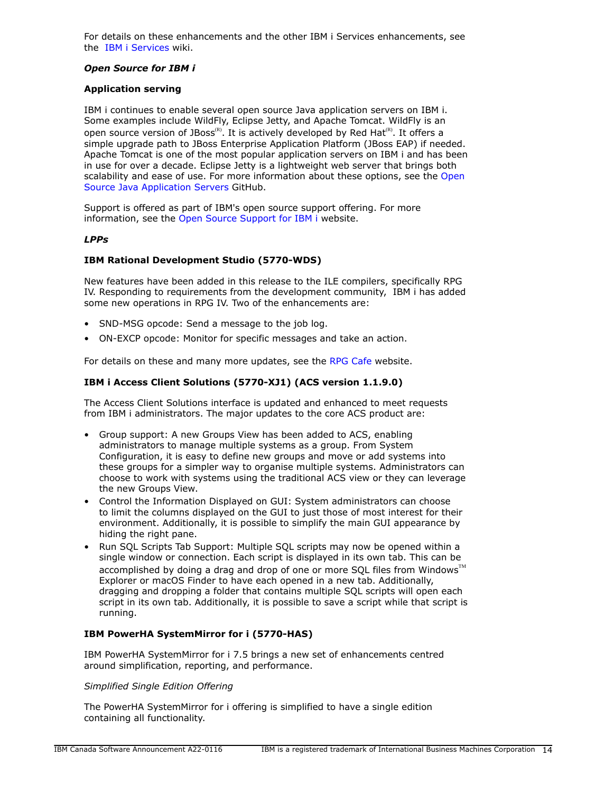For details on these enhancements and the other IBM i Services enhancements, see the [IBM i Services](http://ibm.biz/Db2foriServices) wiki.

### *Open Source for IBM i*

### **Application serving**

IBM i continues to enable several open source Java application servers on IBM i. Some examples include WildFly, Eclipse Jetty, and Apache Tomcat. WildFly is an open source version of JBoss<sup>(R)</sup>. It is actively developed by Red Hat<sup>(R)</sup>. It offers a simple upgrade path to JBoss Enterprise Application Platform (JBoss EAP) if needed. Apache Tomcat is one of the most popular application servers on IBM i and has been in use for over a decade. Eclipse Jetty is a lightweight web server that brings both scalability and ease of use. For more information about these options, see the [Open](https://ibmi-oss-docs.readthedocs.io/en/latest/java/APP_SERVERS.html) [Source Java Application Servers](https://ibmi-oss-docs.readthedocs.io/en/latest/java/APP_SERVERS.html) GitHub.

Support is offered as part of IBM's open source support offering. For more information, see the [Open Source Support for IBM i](http://ibm.biz/ibmi-oss-support) website.

### *LPPs*

### **IBM Rational Development Studio (5770-WDS)**

New features have been added in this release to the ILE compilers, specifically RPG IV. Responding to requirements from the development community, IBM i has added some new operations in RPG IV. Two of the enhancements are:

- SND-MSG opcode: Send a message to the job log.
- ON-EXCP opcode: Monitor for specific messages and take an action.

For details on these and many more updates, see the [RPG Cafe](https://ibm.biz/rpg_cafe) website.

# **IBM i Access Client Solutions (5770-XJ1) (ACS version 1.1.9.0)**

The Access Client Solutions interface is updated and enhanced to meet requests from IBM i administrators. The major updates to the core ACS product are:

- Group support: A new Groups View has been added to ACS, enabling administrators to manage multiple systems as a group. From System Configuration, it is easy to define new groups and move or add systems into these groups for a simpler way to organise multiple systems. Administrators can choose to work with systems using the traditional ACS view or they can leverage the new Groups View.
- Control the Information Displayed on GUI: System administrators can choose to limit the columns displayed on the GUI to just those of most interest for their environment. Additionally, it is possible to simplify the main GUI appearance by hiding the right pane.
- Run SQL Scripts Tab Support: Multiple SQL scripts may now be opened within a single window or connection. Each script is displayed in its own tab. This can be accomplished by doing a drag and drop of one or more SQL files from Windows $\mathbb{M}$ Explorer or macOS Finder to have each opened in a new tab. Additionally, dragging and dropping a folder that contains multiple SQL scripts will open each script in its own tab. Additionally, it is possible to save a script while that script is running.

# **IBM PowerHA SystemMirror for i (5770-HAS)**

IBM PowerHA SystemMirror for i 7.5 brings a new set of enhancements centred around simplification, reporting, and performance.

### *Simplified Single Edition Offering*

The PowerHA SystemMirror for i offering is simplified to have a single edition containing all functionality.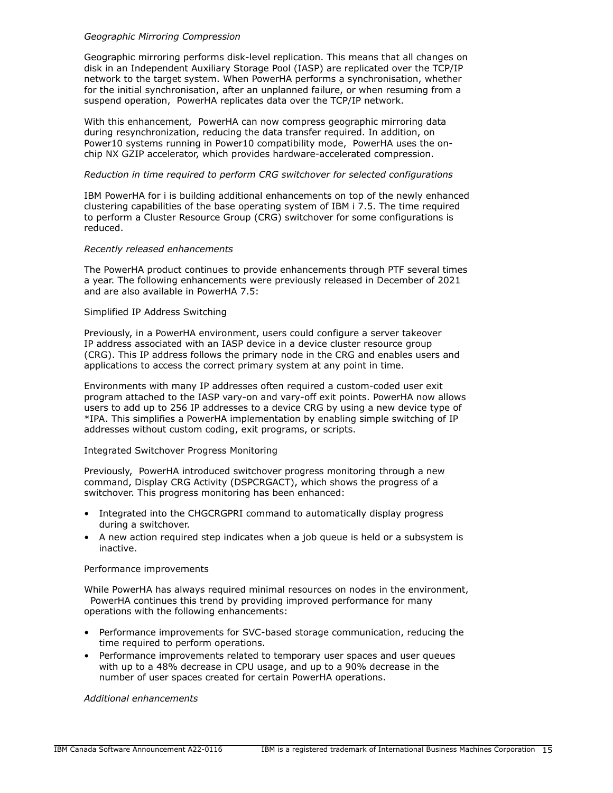### *Geographic Mirroring Compression*

Geographic mirroring performs disk-level replication. This means that all changes on disk in an Independent Auxiliary Storage Pool (IASP) are replicated over the TCP/IP network to the target system. When PowerHA performs a synchronisation, whether for the initial synchronisation, after an unplanned failure, or when resuming from a suspend operation, PowerHA replicates data over the TCP/IP network.

With this enhancement, PowerHA can now compress geographic mirroring data during resynchronization, reducing the data transfer required. In addition, on Power10 systems running in Power10 compatibility mode, PowerHA uses the onchip NX GZIP accelerator, which provides hardware-accelerated compression.

### *Reduction in time required to perform CRG switchover for selected configurations*

IBM PowerHA for i is building additional enhancements on top of the newly enhanced clustering capabilities of the base operating system of IBM i 7.5. The time required to perform a Cluster Resource Group (CRG) switchover for some configurations is reduced.

### *Recently released enhancements*

The PowerHA product continues to provide enhancements through PTF several times a year. The following enhancements were previously released in December of 2021 and are also available in PowerHA 7.5:

### Simplified IP Address Switching

Previously, in a PowerHA environment, users could configure a server takeover IP address associated with an IASP device in a device cluster resource group (CRG). This IP address follows the primary node in the CRG and enables users and applications to access the correct primary system at any point in time.

Environments with many IP addresses often required a custom-coded user exit program attached to the IASP vary-on and vary-off exit points. PowerHA now allows users to add up to 256 IP addresses to a device CRG by using a new device type of \*IPA. This simplifies a PowerHA implementation by enabling simple switching of IP addresses without custom coding, exit programs, or scripts.

### Integrated Switchover Progress Monitoring

Previously, PowerHA introduced switchover progress monitoring through a new command, Display CRG Activity (DSPCRGACT), which shows the progress of a switchover. This progress monitoring has been enhanced:

- Integrated into the CHGCRGPRI command to automatically display progress during a switchover.
- A new action required step indicates when a job queue is held or a subsystem is inactive.

### Performance improvements

While PowerHA has always required minimal resources on nodes in the environment, PowerHA continues this trend by providing improved performance for many operations with the following enhancements:

- Performance improvements for SVC-based storage communication, reducing the time required to perform operations.
- Performance improvements related to temporary user spaces and user queues with up to a 48% decrease in CPU usage, and up to a 90% decrease in the number of user spaces created for certain PowerHA operations.

*Additional enhancements*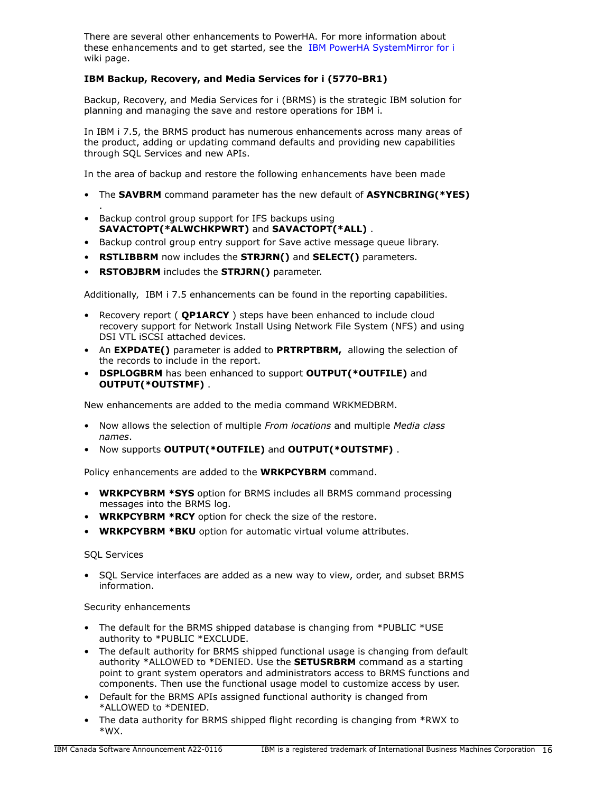There are several other enhancements to PowerHA. For more information about these enhancements and to get started, see the [IBM PowerHA SystemMirror for i](https://ibm.biz/ibmi-powerha) wiki page.

# **IBM Backup, Recovery, and Media Services for i (5770-BR1)**

Backup, Recovery, and Media Services for i (BRMS) is the strategic IBM solution for planning and managing the save and restore operations for IBM i.

In IBM i 7.5, the BRMS product has numerous enhancements across many areas of the product, adding or updating command defaults and providing new capabilities through SQL Services and new APIs.

In the area of backup and restore the following enhancements have been made

- The **SAVBRM** command parameter has the new default of **ASYNCBRING(\*YES)**
- Backup control group support for IFS backups using **SAVACTOPT(\*ALWCHKPWRT)** and **SAVACTOPT(\*ALL)** .
- Backup control group entry support for Save active message queue library.
- **RSTLIBBRM** now includes the **STRJRN()** and **SELECT()** parameters.
- **RSTOBJBRM** includes the **STRJRN()** parameter.

Additionally, IBM i 7.5 enhancements can be found in the reporting capabilities.

- Recovery report ( **QP1ARCY** ) steps have been enhanced to include cloud recovery support for Network Install Using Network File System (NFS) and using DSI VTL iSCSI attached devices.
- An **EXPDATE()** parameter is added to **PRTRPTBRM,** allowing the selection of the records to include in the report.
- **DSPLOGBRM** has been enhanced to support **OUTPUT(\*OUTFILE)** and **OUTPUT(\*OUTSTMF)** .

New enhancements are added to the media command WRKMEDBRM.

- Now allows the selection of multiple *From locations* and multiple *Media class names*.
- Now supports **OUTPUT(\*OUTFILE)** and **OUTPUT(\*OUTSTMF)** .

Policy enhancements are added to the **WRKPCYBRM** command.

- **WRKPCYBRM \*SYS** option for BRMS includes all BRMS command processing messages into the BRMS log.
- **WRKPCYBRM \*RCY** option for check the size of the restore.
- **WRKPCYBRM \*BKU** option for automatic virtual volume attributes.

### SQL Services

.

• SQL Service interfaces are added as a new way to view, order, and subset BRMS information.

### Security enhancements

- The default for the BRMS shipped database is changing from \*PUBLIC \*USE authority to \*PUBLIC \*EXCLUDE.
- The default authority for BRMS shipped functional usage is changing from default authority \*ALLOWED to \*DENIED. Use the **SETUSRBRM** command as a starting point to grant system operators and administrators access to BRMS functions and components. Then use the functional usage model to customize access by user.
- Default for the BRMS APIs assigned functional authority is changed from \*ALLOWED to \*DENIED.
- The data authority for BRMS shipped flight recording is changing from \*RWX to \*WX.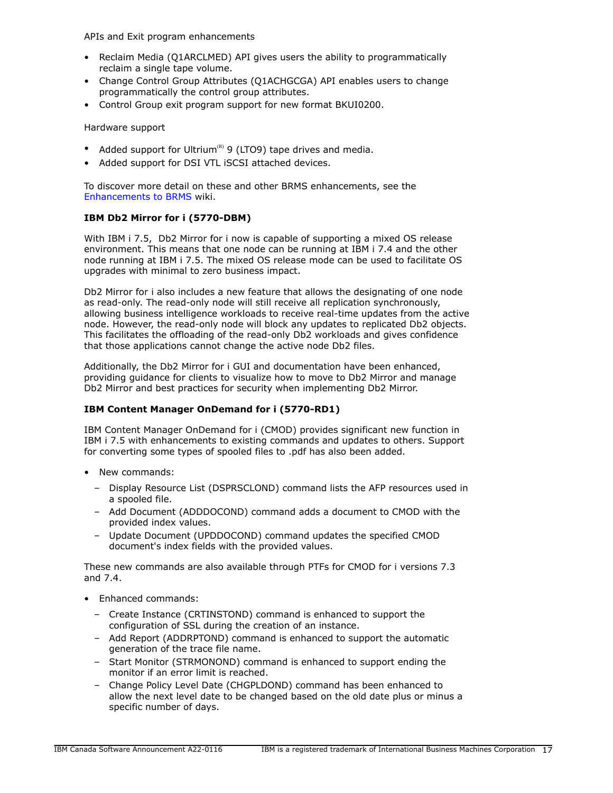APIs and Exit program enhancements

- Reclaim Media (Q1ARCLMED) API gives users the ability to programmatically reclaim a single tape volume.
- Change Control Group Attributes (Q1ACHGCGA) API enables users to change programmatically the control group attributes.
- Control Group exit program support for new format BKUI0200.

Hardware support

- Added support for Ultrium<sup>(R)</sup> 9 (LTO9) tape drives and media.
- Added support for DSI VTL iSCSI attached devices.

To discover more detail on these and other BRMS enhancements, see the [Enhancements to BRMS](https://helpsystemswiki.atlassian.net/wiki/spaces/IWT/pages/165642446/Enhancements+to+BRMS) wiki.

# **IBM Db2 Mirror for i (5770-DBM)**

With IBM i 7.5, Db2 Mirror for i now is capable of supporting a mixed OS release environment. This means that one node can be running at IBM i 7.4 and the other node running at IBM i 7.5. The mixed OS release mode can be used to facilitate OS upgrades with minimal to zero business impact.

Db2 Mirror for i also includes a new feature that allows the designating of one node as read-only. The read-only node will still receive all replication synchronously, allowing business intelligence workloads to receive real-time updates from the active node. However, the read-only node will block any updates to replicated Db2 objects. This facilitates the offloading of the read-only Db2 workloads and gives confidence that those applications cannot change the active node Db2 files.

Additionally, the Db2 Mirror for i GUI and documentation have been enhanced, providing guidance for clients to visualize how to move to Db2 Mirror and manage Db2 Mirror and best practices for security when implementing Db2 Mirror.

# **IBM Content Manager OnDemand for i (5770-RD1)**

IBM Content Manager OnDemand for i (CMOD) provides significant new function in IBM i 7.5 with enhancements to existing commands and updates to others. Support for converting some types of spooled files to .pdf has also been added.

- New commands:
	- Display Resource List (DSPRSCLOND) command lists the AFP resources used in a spooled file.
	- Add Document (ADDDOCOND) command adds a document to CMOD with the provided index values.
	- Update Document (UPDDOCOND) command updates the specified CMOD document's index fields with the provided values.

These new commands are also available through PTFs for CMOD for i versions 7.3 and 7.4.

- Enhanced commands:
	- Create Instance (CRTINSTOND) command is enhanced to support the configuration of SSL during the creation of an instance.
	- Add Report (ADDRPTOND) command is enhanced to support the automatic generation of the trace file name.
	- Start Monitor (STRMONOND) command is enhanced to support ending the monitor if an error limit is reached.
	- Change Policy Level Date (CHGPLDOND) command has been enhanced to allow the next level date to be changed based on the old date plus or minus a specific number of days.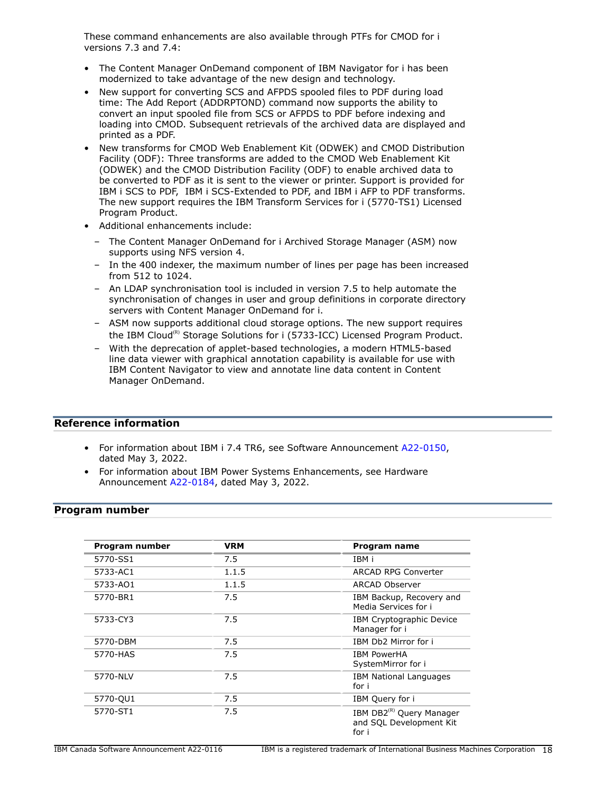These command enhancements are also available through PTFs for CMOD for i versions 7.3 and 7.4:

- The Content Manager OnDemand component of IBM Navigator for i has been modernized to take advantage of the new design and technology.
- New support for converting SCS and AFPDS spooled files to PDF during load time: The Add Report (ADDRPTOND) command now supports the ability to convert an input spooled file from SCS or AFPDS to PDF before indexing and loading into CMOD. Subsequent retrievals of the archived data are displayed and printed as a PDF.
- New transforms for CMOD Web Enablement Kit (ODWEK) and CMOD Distribution Facility (ODF): Three transforms are added to the CMOD Web Enablement Kit (ODWEK) and the CMOD Distribution Facility (ODF) to enable archived data to be converted to PDF as it is sent to the viewer or printer. Support is provided for IBM i SCS to PDF, IBM i SCS-Extended to PDF, and IBM i AFP to PDF transforms. The new support requires the IBM Transform Services for i (5770-TS1) Licensed Program Product.
- Additional enhancements include:
	- The Content Manager OnDemand for i Archived Storage Manager (ASM) now supports using NFS version 4.
	- In the 400 indexer, the maximum number of lines per page has been increased from 512 to 1024.
	- An LDAP synchronisation tool is included in version 7.5 to help automate the synchronisation of changes in user and group definitions in corporate directory servers with Content Manager OnDemand for i.
	- ASM now supports additional cloud storage options. The new support requires the IBM Cloud<sup>(R)</sup> Storage Solutions for i (5733-ICC) Licensed Program Product.
	- With the deprecation of applet-based technologies, a modern HTML5-based line data viewer with graphical annotation capability is available for use with IBM Content Navigator to view and annotate line data content in Content Manager OnDemand.

# **Reference information**

- For information about IBM i 7.4 TR6, see Software Announcement [A22-0150,](http://www.ibm.com/common/ssi/cgi-bin/ssialias?infotype=an&subtype=ca&appname=gpateam&supplier=649&letternum=ENUSA22-0150) dated May 3, 2022.
- For information about IBM Power Systems Enhancements, see Hardware Announcement [A22-0184](http://www.ibm.com/common/ssi/cgi-bin/ssialias?infotype=an&subtype=ca&appname=gpateam&supplier=649&letternum=ENUSA22-0184), dated May 3, 2022.

# <span id="page-17-0"></span>**Program number**

| Program number | <b>VRM</b> | Program name                                                             |
|----------------|------------|--------------------------------------------------------------------------|
| 5770-SS1       | 7.5        | IBM i                                                                    |
| 5733-AC1       | 1.1.5      | <b>ARCAD RPG Converter</b>                                               |
| 5733-AO1       | 1.1.5      | ARCAD Observer                                                           |
| 5770-BR1       | 7.5        | IBM Backup, Recovery and<br>Media Services for i                         |
| 5733-CY3       | 7.5        | IBM Cryptographic Device<br>Manager for i                                |
| 5770-DBM       | 7.5        | IBM Db2 Mirror for i                                                     |
| 5770-HAS       | 7.5        | <b>IBM PowerHA</b><br>SystemMirror for i                                 |
| 5770-NLV       | 7.5        | <b>IBM National Languages</b><br>for i                                   |
| 5770-QU1       | 7.5        | IBM Query for i                                                          |
| 5770-ST1       | 7.5        | IBM DB2 <sup>(R)</sup> Query Manager<br>and SQL Development Kit<br>for i |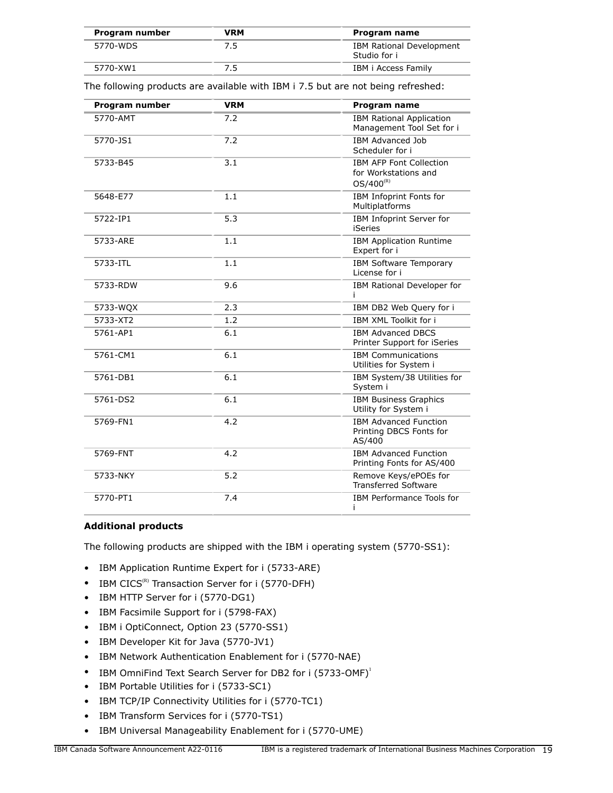| Program number | VRM | Program name                                    |
|----------------|-----|-------------------------------------------------|
| 5770-WDS       | 7.5 | <b>IBM Rational Development</b><br>Studio for i |
| 5770-XW1       |     | IBM i Access Family                             |

The following products are available with IBM i 7.5 but are not being refreshed:

| Program number | <b>VRM</b> | Program name                                                             |  |
|----------------|------------|--------------------------------------------------------------------------|--|
| 5770-AMT       | 7.2        | <b>IBM Rational Application</b><br>Management Tool Set for i             |  |
| 5770-JS1       | 7.2        | <b>IBM Advanced Job</b><br>Scheduler for i                               |  |
| 5733-B45       | 3.1        | <b>IBM AFP Font Collection</b><br>for Workstations and<br>$OS/400^{(R)}$ |  |
| 5648-E77       | 1.1        | IBM Infoprint Fonts for<br>Multiplatforms                                |  |
| 5722-IP1       | 5.3        | IBM Infoprint Server for<br>iSeries                                      |  |
| 5733-ARE       | 1.1        | <b>IBM Application Runtime</b><br>Expert for i                           |  |
| 5733-ITL       | 1.1        | <b>IBM Software Temporary</b><br>License for i                           |  |
| 5733-RDW       | 9.6        | IBM Rational Developer for                                               |  |
| 5733-WQX       | 2.3        | IBM DB2 Web Query for i                                                  |  |
| 5733-XT2       | 1.2        | IBM XML Toolkit for i                                                    |  |
| 5761-AP1       | 6.1        | <b>IBM Advanced DBCS</b><br>Printer Support for iSeries                  |  |
| 5761-CM1       | 6.1        | <b>IBM Communications</b><br>Utilities for System i                      |  |
| 5761-DB1       | 6.1        | IBM System/38 Utilities for<br>System i                                  |  |
| 5761-DS2       | 6.1        | <b>IBM Business Graphics</b><br>Utility for System i                     |  |
| 5769-FN1       | 4.2        | <b>IBM Advanced Function</b><br>Printing DBCS Fonts for<br>AS/400        |  |
| 5769-FNT       | 4.2        | <b>IBM Advanced Function</b><br>Printing Fonts for AS/400                |  |
| 5733-NKY       | 5.2        | Remove Keys/ePOEs for<br><b>Transferred Software</b>                     |  |
| 5770-PT1       | 7.4        | IBM Performance Tools for<br>Ť                                           |  |

# **Additional products**

The following products are shipped with the IBM i operating system (5770-SS1):

- IBM Application Runtime Expert for i (5733-ARE)
- IBM  $CICS^{(R)}$  Transaction Server for i (5770-DFH)
- IBM HTTP Server for i (5770-DG1)
- IBM Facsimile Support for i (5798-FAX)
- IBM i OptiConnect, Option 23 (5770-SS1)
- IBM Developer Kit for Java (5770-JV1)
- IBM Network Authentication Enablement for i (5770-NAE)
- IBM OmniFind Text Search Server for DB2 for i (5733-OMF)<sup>1</sup>
- IBM Portable Utilities for i (5733-SC1)
- IBM TCP/IP Connectivity Utilities for i (5770-TC1)
- IBM Transform Services for i (5770-TS1)
- IBM Universal Manageability Enablement for i (5770-UME)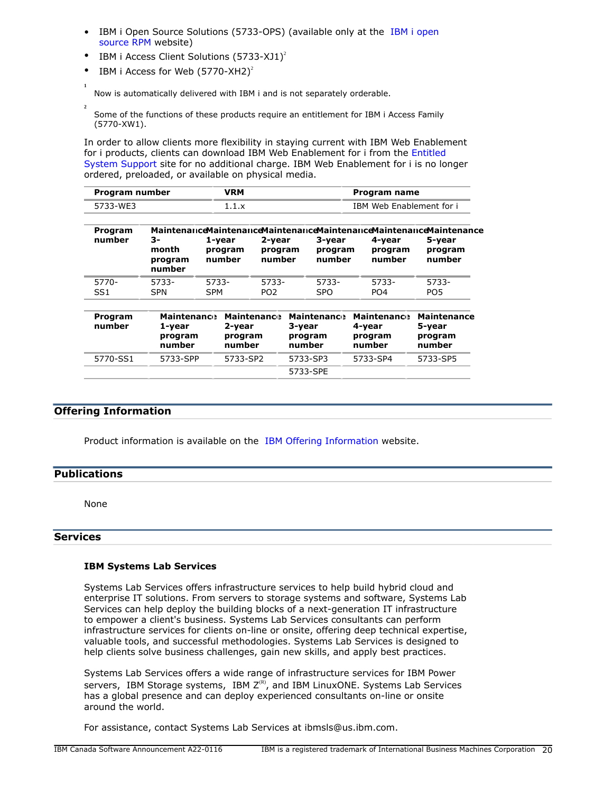- IBM i Open Source Solutions (5733-OPS) (available only at the [IBM i open](http://ibm.biz/ibmi-rpms) [source RPM](http://ibm.biz/ibmi-rpms) website)
- IBM i Access Client Solutions  $(5733-XJ1)^2$
- IBM i Access for Web  $(5770 XH2)^2$

**1** Now is automatically delivered with IBM i and is not separately orderable.

**2** Some of the functions of these products require an entitlement for IBM i Access Family (5770-XW1).

In order to allow clients more flexibility in staying current with IBM Web Enablement for i products, clients can download IBM Web Enablement for i from the [Entitled](https://www.ibm.com/servers/eserver/ess/index.wss) [System Support](https://www.ibm.com/servers/eserver/ess/index.wss) site for no additional charge. IBM Web Enablement for i is no longer ordered, preloaded, or available on physical media.

| Program number | /RM | Program name             |
|----------------|-----|--------------------------|
| 5733-WF3       |     | IBM Web Enablement for i |

| Program<br>number        | 3-<br>month<br>program<br>number                  | 1-year<br>program<br>number | 2-year<br>program<br>number | 3-year<br>program<br>number                       | 4-year<br>program<br>number                       | Maintenance Maintenance Maintenance Maintenance Maintenance Maintenance<br>5-year<br>program<br>number |
|--------------------------|---------------------------------------------------|-----------------------------|-----------------------------|---------------------------------------------------|---------------------------------------------------|--------------------------------------------------------------------------------------------------------|
| 5770-<br>SS <sub>1</sub> | 5733-<br><b>SPN</b>                               | 5733-<br><b>SPM</b>         | 5733-<br>PO <sub>2</sub>    | 5733-<br><b>SPO</b>                               | 5733-<br>PO <sub>4</sub>                          | 5733-<br>PO <sub>5</sub>                                                                               |
| Program<br>number        | <b>Maintenance</b><br>1-year<br>program<br>number | 2-year<br>program<br>number | <b>Maintenance</b>          | <b>Maintenance</b><br>3-year<br>program<br>number | <b>Maintenance</b><br>4-year<br>program<br>number | <b>Maintenance</b><br>5-year<br>program<br>number                                                      |
| 5770-SS1                 | 5733-SPP                                          | 5733-SP2                    |                             | 5733-SP3                                          | 5733-SP4                                          | 5733-SP5                                                                                               |

5733-SPE

# **Offering Information**

Product information is available on the [IBM Offering Information](http://www.ibm.com/common/ssi) website.

### <span id="page-19-0"></span>**Publications**

None

### **Services**

### **IBM Systems Lab Services**

Systems Lab Services offers infrastructure services to help build hybrid cloud and enterprise IT solutions. From servers to storage systems and software, Systems Lab Services can help deploy the building blocks of a next-generation IT infrastructure to empower a client's business. Systems Lab Services consultants can perform infrastructure services for clients on-line or onsite, offering deep technical expertise, valuable tools, and successful methodologies. Systems Lab Services is designed to help clients solve business challenges, gain new skills, and apply best practices.

Systems Lab Services offers a wide range of infrastructure services for IBM Power servers, IBM Storage systems, IBM  $Z^{(R)}$ , and IBM LinuxONE. Systems Lab Services has a global presence and can deploy experienced consultants on-line or onsite around the world.

For assistance, contact Systems Lab Services at ibmsls@us.ibm.com.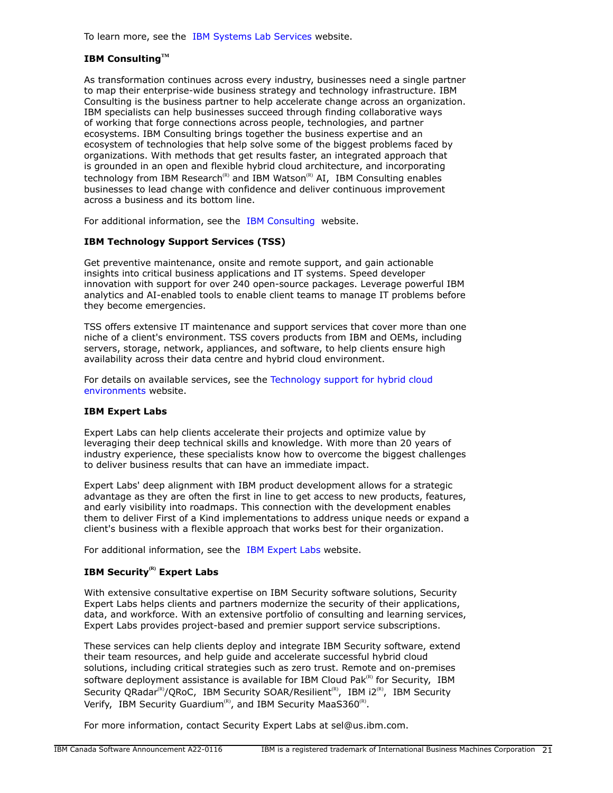To learn more, see the [IBM Systems Lab Services](https://www.ibm.com/it-infrastructure/services/lab-services) website.

# **IBM ConsultingTM**

As transformation continues across every industry, businesses need a single partner to map their enterprise-wide business strategy and technology infrastructure. IBM Consulting is the business partner to help accelerate change across an organization. IBM specialists can help businesses succeed through finding collaborative ways of working that forge connections across people, technologies, and partner ecosystems. IBM Consulting brings together the business expertise and an ecosystem of technologies that help solve some of the biggest problems faced by organizations. With methods that get results faster, an integrated approach that is grounded in an open and flexible hybrid cloud architecture, and incorporating technology from IBM Research<sup>(R)</sup> and IBM Watson<sup>(R)</sup> AI, IBM Consulting enables businesses to lead change with confidence and deliver continuous improvement across a business and its bottom line.

For additional information, see the [IBM Consulting](https://www.ibm.com/consulting) website.

# **IBM Technology Support Services (TSS)**

Get preventive maintenance, onsite and remote support, and gain actionable insights into critical business applications and IT systems. Speed developer innovation with support for over 240 open-source packages. Leverage powerful IBM analytics and AI-enabled tools to enable client teams to manage IT problems before they become emergencies.

TSS offers extensive IT maintenance and support services that cover more than one niche of a client's environment. TSS covers products from IBM and OEMs, including servers, storage, network, appliances, and software, to help clients ensure high availability across their data centre and hybrid cloud environment.

For details on available services, see the [Technology support for hybrid cloud](https://www.ibm.com/services/technology-support) [environments](https://www.ibm.com/services/technology-support) website.

# **IBM Expert Labs**

Expert Labs can help clients accelerate their projects and optimize value by leveraging their deep technical skills and knowledge. With more than 20 years of industry experience, these specialists know how to overcome the biggest challenges to deliver business results that can have an immediate impact.

Expert Labs' deep alignment with IBM product development allows for a strategic advantage as they are often the first in line to get access to new products, features, and early visibility into roadmaps. This connection with the development enables them to deliver First of a Kind implementations to address unique needs or expand a client's business with a flexible approach that works best for their organization.

For additional information, see the [IBM Expert Labs](https://www.ibm.com/products/expertlabs) website.

# **IBM Security(R) Expert Labs**

With extensive consultative expertise on IBM Security software solutions, Security Expert Labs helps clients and partners modernize the security of their applications, data, and workforce. With an extensive portfolio of consulting and learning services, Expert Labs provides project-based and premier support service subscriptions.

These services can help clients deploy and integrate IBM Security software, extend their team resources, and help guide and accelerate successful hybrid cloud solutions, including critical strategies such as zero trust. Remote and on-premises software deployment assistance is available for IBM Cloud Pak $R$ <sup>(R)</sup> for Security, IBM Security QRadar<sup>(R)</sup>/QRoC, IBM Security SOAR/Resilient<sup>(R)</sup>, IBM i2<sup>(R)</sup>, IBM Security Verify, IBM Security Guardium<sup>(R)</sup>, and IBM Security MaaS360<sup>(R)</sup>.

For more information, contact Security Expert Labs at sel@us.ibm.com.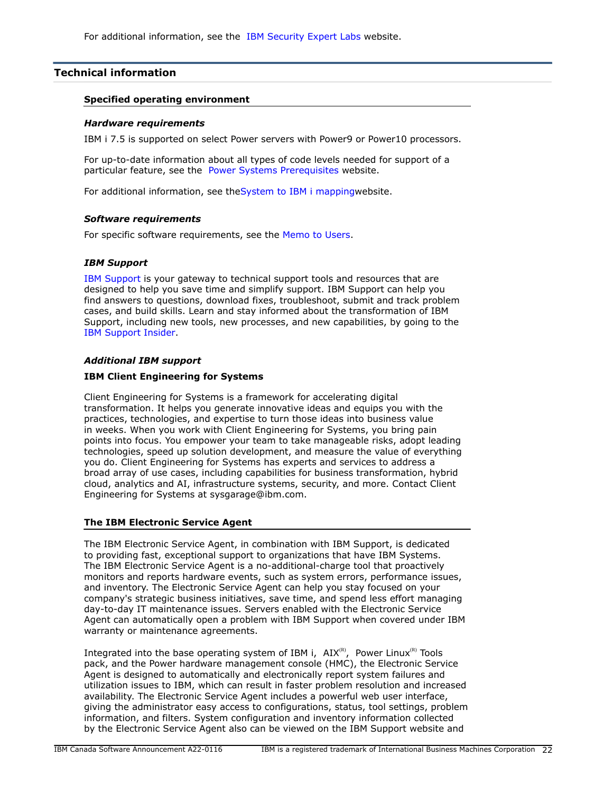# <span id="page-21-0"></span>**Technical information**

### **Specified operating environment**

### *Hardware requirements*

IBM i 7.5 is supported on select Power servers with Power9 or Power10 processors.

For up-to-date information about all types of code levels needed for support of a particular feature, see the [Power Systems Prerequisites](https://www-912.ibm.com/e_dir/eServerPrereq.nsf) website.

For additional information, see th[eSystem to IBM i mappingw](http://www-01.ibm.com/support/docview.wss?uid=ssm1platformibmi)ebsite.

### *Software requirements*

For specific software requirements, see the [Memo to Users.](https://www.ibm.com/docs/en/i/7.5?topic=documentation-memo-users)

# *IBM Support*

[IBM Support](https://www.ibm.com/support) is your gateway to technical support tools and resources that are designed to help you save time and simplify support. IBM Support can help you find answers to questions, download fixes, troubleshoot, submit and track problem cases, and build skills. Learn and stay informed about the transformation of IBM Support, including new tools, new processes, and new capabilities, by going to the [IBM Support Insider](https://www.ibm.com/support/insider).

# *Additional IBM support*

### **IBM Client Engineering for Systems**

Client Engineering for Systems is a framework for accelerating digital transformation. It helps you generate innovative ideas and equips you with the practices, technologies, and expertise to turn those ideas into business value in weeks. When you work with Client Engineering for Systems, you bring pain points into focus. You empower your team to take manageable risks, adopt leading technologies, speed up solution development, and measure the value of everything you do. Client Engineering for Systems has experts and services to address a broad array of use cases, including capabilities for business transformation, hybrid cloud, analytics and AI, infrastructure systems, security, and more. Contact Client Engineering for Systems at sysgarage@ibm.com.

# **The IBM Electronic Service Agent**

The IBM Electronic Service Agent, in combination with IBM Support, is dedicated to providing fast, exceptional support to organizations that have IBM Systems. The IBM Electronic Service Agent is a no-additional-charge tool that proactively monitors and reports hardware events, such as system errors, performance issues, and inventory. The Electronic Service Agent can help you stay focused on your company's strategic business initiatives, save time, and spend less effort managing day-to-day IT maintenance issues. Servers enabled with the Electronic Service Agent can automatically open a problem with IBM Support when covered under IBM warranty or maintenance agreements.

Integrated into the base operating system of IBM i,  $AIX^{(R)}$ , Power Linux<sup>(R)</sup> Tools pack, and the Power hardware management console (HMC), the Electronic Service Agent is designed to automatically and electronically report system failures and utilization issues to IBM, which can result in faster problem resolution and increased availability. The Electronic Service Agent includes a powerful web user interface, giving the administrator easy access to configurations, status, tool settings, problem information, and filters. System configuration and inventory information collected by the Electronic Service Agent also can be viewed on the IBM Support website and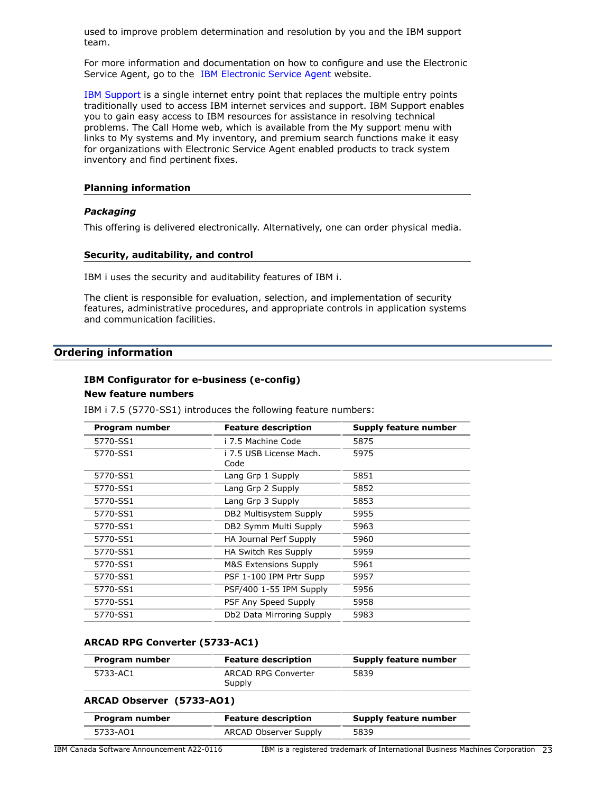used to improve problem determination and resolution by you and the IBM support team.

For more information and documentation on how to configure and use the Electronic Service Agent, go to the [IBM Electronic Service Agent](http://www.ibm.com/support/pages/esa) website.

[IBM Support](http://www.ibm.com/support) is a single internet entry point that replaces the multiple entry points traditionally used to access IBM internet services and support. IBM Support enables you to gain easy access to IBM resources for assistance in resolving technical problems. The Call Home web, which is available from the My support menu with links to My systems and My inventory, and premium search functions make it easy for organizations with Electronic Service Agent enabled products to track system inventory and find pertinent fixes.

#### **Planning information**

### *Packaging*

This offering is delivered electronically. Alternatively, one can order physical media.

#### **Security, auditability, and control**

IBM i uses the security and auditability features of IBM i.

The client is responsible for evaluation, selection, and implementation of security features, administrative procedures, and appropriate controls in application systems and communication facilities.

# <span id="page-22-0"></span>**Ordering information**

# **IBM Configurator for e-business (e-config)**

# **New feature numbers**

IBM i 7.5 (5770-SS1) introduces the following feature numbers:

| Program number | <b>Feature description</b>       | <b>Supply feature number</b> |
|----------------|----------------------------------|------------------------------|
| 5770-SS1       | i 7.5 Machine Code               | 5875                         |
| 5770-SS1       | i 7.5 USB License Mach.<br>Code  | 5975                         |
| 5770-SS1       | Lang Grp 1 Supply                | 5851                         |
| 5770-SS1       | Lang Grp 2 Supply                | 5852                         |
| 5770-SS1       | Lang Grp 3 Supply                | 5853                         |
| 5770-SS1       | DB2 Multisystem Supply           | 5955                         |
| 5770-SS1       | DB2 Symm Multi Supply            | 5963                         |
| 5770-SS1       | HA Journal Perf Supply           | 5960                         |
| 5770-SS1       | HA Switch Res Supply             | 5959                         |
| 5770-SS1       | <b>M&amp;S Extensions Supply</b> | 5961                         |
| 5770-SS1       | PSF 1-100 IPM Prtr Supp          | 5957                         |
| 5770-SS1       | PSF/400 1-55 IPM Supply          | 5956                         |
| 5770-SS1       | PSF Any Speed Supply             | 5958                         |
| 5770-SS1       | Db2 Data Mirroring Supply        | 5983                         |

### **ARCAD RPG Converter (5733-AC1)**

| Program number | <b>Feature description</b>    | Supply feature number |
|----------------|-------------------------------|-----------------------|
| 5733-AC1       | ARCAD RPG Converter<br>Supply | 5839                  |

#### **ARCAD Observer (5733-AO1)**

| Program number | <b>Feature description</b> | Supply feature number |
|----------------|----------------------------|-----------------------|
| 5733-AO1       | ARCAD Observer Supply      | 5839                  |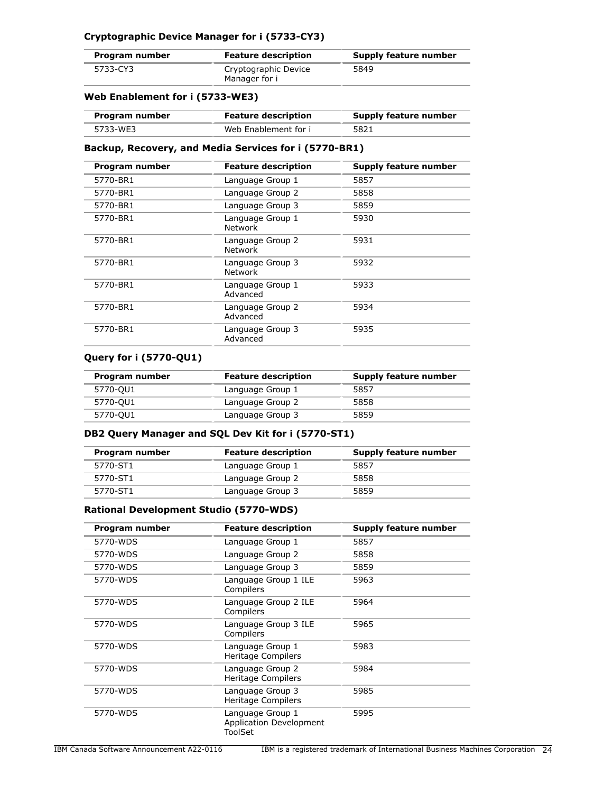# **Cryptographic Device Manager for i (5733-CY3)**

| Program number | <b>Feature description</b>            | Supply feature number |
|----------------|---------------------------------------|-----------------------|
| 5733-CY3       | Cryptographic Device<br>Manager for i | 5849                  |

# **Web Enablement for i (5733-WE3)**

| Program number | <b>Feature description</b> | Supply feature number |
|----------------|----------------------------|-----------------------|
| 5733-WE3       | Web Enablement for i       | 5821                  |

### **Backup, Recovery, and Media Services for i (5770-BR1)**

| Program number | <b>Feature description</b>         | Supply feature number |
|----------------|------------------------------------|-----------------------|
| 5770-BR1       | Language Group 1                   | 5857                  |
| 5770-BR1       | Language Group 2                   | 5858                  |
| 5770-BR1       | Language Group 3                   | 5859                  |
| 5770-BR1       | Language Group 1<br><b>Network</b> | 5930                  |
| 5770-BR1       | Language Group 2<br><b>Network</b> | 5931                  |
| 5770-BR1       | Language Group 3<br><b>Network</b> | 5932                  |
| 5770-BR1       | Language Group 1<br>Advanced       | 5933                  |
| 5770-BR1       | Language Group 2<br>Advanced       | 5934                  |
| 5770-BR1       | Language Group 3<br>Advanced       | 5935                  |

### **Query for i (5770-QU1)**

| Program number | <b>Feature description</b> | <b>Supply feature number</b> |
|----------------|----------------------------|------------------------------|
| 5770-QU1       | Language Group 1           | 5857                         |
| 5770-QU1       | Language Group 2           | 5858                         |
| 5770-QU1       | Language Group 3           | 5859                         |

# **DB2 Query Manager and SQL Dev Kit for i (5770-ST1)**

| Program number | <b>Feature description</b> | Supply feature number |
|----------------|----------------------------|-----------------------|
| 5770-ST1       | Language Group 1           | 5857                  |
| 5770-ST1       | Language Group 2           | 5858                  |
| 5770-ST1       | Language Group 3           | 5859                  |

# **Rational Development Studio (5770-WDS)**

| Program number | <b>Feature description</b>                                    | Supply feature number |
|----------------|---------------------------------------------------------------|-----------------------|
| 5770-WDS       | Language Group 1                                              | 5857                  |
| 5770-WDS       | Language Group 2                                              | 5858                  |
| 5770-WDS       | Language Group 3                                              | 5859                  |
| 5770-WDS       | Language Group 1 ILE<br>Compilers                             | 5963                  |
| 5770-WDS       | Language Group 2 ILE<br>Compilers                             | 5964                  |
| 5770-WDS       | Language Group 3 ILE<br>Compilers                             | 5965                  |
| 5770-WDS       | Language Group 1<br>Heritage Compilers                        | 5983                  |
| 5770-WDS       | Language Group 2<br>Heritage Compilers                        | 5984                  |
| 5770-WDS       | Language Group 3<br>Heritage Compilers                        | 5985                  |
| 5770-WDS       | Language Group 1<br><b>Application Development</b><br>ToolSet | 5995                  |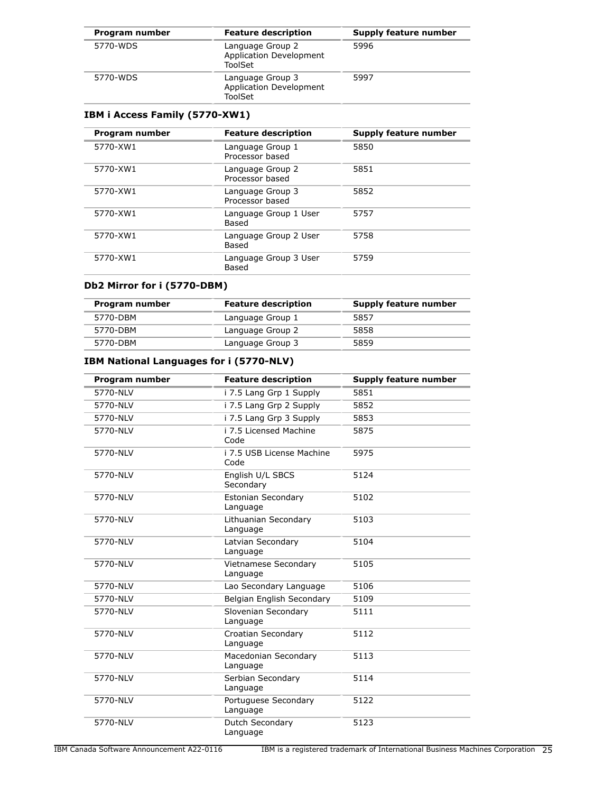| Program number | <b>Feature description</b>                                    | Supply feature number |
|----------------|---------------------------------------------------------------|-----------------------|
| 5770-WDS       | Language Group 2<br><b>Application Development</b><br>ToolSet | 5996                  |
| 5770-WDS       | Language Group 3<br><b>Application Development</b><br>ToolSet | 5997                  |

# **IBM i Access Family (5770-XW1)**

| Program number | <b>Feature description</b>          | Supply feature number |
|----------------|-------------------------------------|-----------------------|
| 5770-XW1       | Language Group 1<br>Processor based | 5850                  |
| 5770-XW1       | Language Group 2<br>Processor based | 5851                  |
| 5770-XW1       | Language Group 3<br>Processor based | 5852                  |
| 5770-XW1       | Language Group 1 User<br>Based      | 5757                  |
| 5770-XW1       | Language Group 2 User<br>Based      | 5758                  |
| 5770-XW1       | Language Group 3 User<br>Based      | 5759                  |

# **Db2 Mirror for i (5770-DBM)**

| Program number | <b>Feature description</b> | Supply feature number |
|----------------|----------------------------|-----------------------|
| 5770-DBM       | Language Group 1           | 5857                  |
| 5770-DBM       | Language Group 2           | 5858                  |
| 5770-DBM       | Language Group 3           | 5859                  |

# **IBM National Languages for i (5770-NLV)**

| Program number | <b>Feature description</b>              | <b>Supply feature number</b> |
|----------------|-----------------------------------------|------------------------------|
| 5770-NLV       | i 7.5 Lang Grp 1 Supply                 | 5851                         |
| 5770-NLV       | i 7.5 Lang Grp 2 Supply                 | 5852                         |
| 5770-NLV       | i 7.5 Lang Grp 3 Supply                 | 5853                         |
| 5770-NLV       | i 7.5 Licensed Machine<br>Code          | 5875                         |
| 5770-NLV       | i 7.5 USB License Machine<br>Code       | 5975                         |
| 5770-NLV       | English U/L SBCS<br>Secondary           | 5124                         |
| 5770-NLV       | Estonian Secondary<br>Language          | 5102                         |
| 5770-NLV       | Lithuanian Secondary<br>Language        | 5103                         |
| 5770-NLV       | Latvian Secondary<br>Language           | 5104                         |
| 5770-NLV       | <b>Vietnamese Secondary</b><br>Language | 5105                         |
| 5770-NLV       | Lao Secondary Language                  | 5106                         |
| 5770-NLV       | Belgian English Secondary               | 5109                         |
| 5770-NLV       | Slovenian Secondary<br>Language         | 5111                         |
| 5770-NLV       | Croatian Secondary<br>Language          | 5112                         |
| 5770-NLV       | Macedonian Secondary<br>Language        | 5113                         |
| 5770-NLV       | Serbian Secondary<br>Language           | 5114                         |
| 5770-NLV       | Portuguese Secondary<br>Language        | 5122                         |
| 5770-NLV       | Dutch Secondary<br>Language             | 5123                         |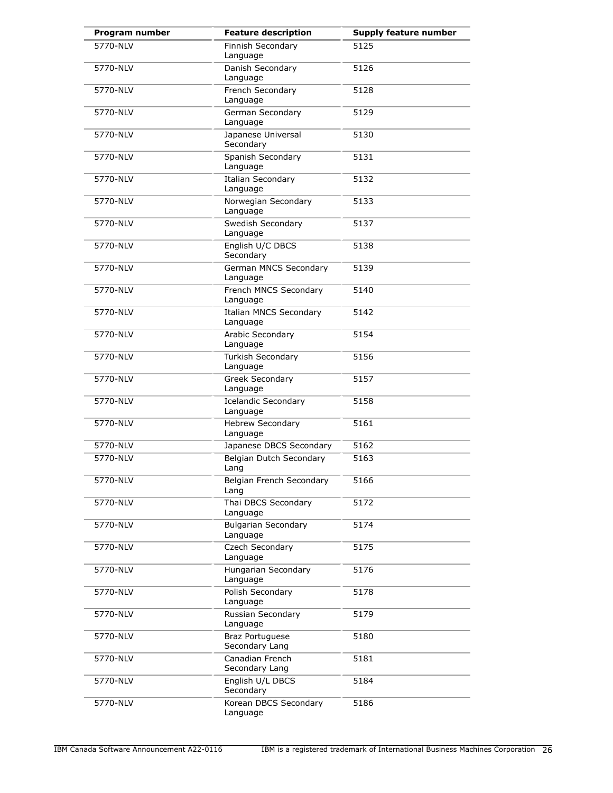| Program number | <b>Feature description</b>                | <b>Supply feature number</b> |
|----------------|-------------------------------------------|------------------------------|
| 5770-NLV       | Finnish Secondary<br>Language             | 5125                         |
| 5770-NLV       | Danish Secondary<br>Language              | 5126                         |
| 5770-NLV       | French Secondary<br>Language              | 5128                         |
| 5770-NLV       | German Secondary<br>Language              | 5129                         |
| 5770-NLV       | Japanese Universal<br>Secondary           | 5130                         |
| 5770-NLV       | Spanish Secondary<br>Language             | 5131                         |
| 5770-NLV       | <b>Italian Secondary</b><br>Language      | 5132                         |
| 5770-NLV       | Norwegian Secondary<br>Language           | 5133                         |
| 5770-NLV       | Swedish Secondary<br>Language             | 5137                         |
| 5770-NLV       | English U/C DBCS<br>Secondary             | 5138                         |
| 5770-NLV       | German MNCS Secondary<br>Language         | 5139                         |
| 5770-NLV       | French MNCS Secondary<br>Language         | 5140                         |
| 5770-NLV       | <b>Italian MNCS Secondary</b><br>Language | 5142                         |
| 5770-NLV       | Arabic Secondary<br>Language              | 5154                         |
| 5770-NLV       | Turkish Secondary<br>Language             | 5156                         |
| 5770-NLV       | Greek Secondary<br>Language               | 5157                         |
| 5770-NLV       | <b>Icelandic Secondary</b><br>Language    | 5158                         |
| 5770-NLV       | <b>Hebrew Secondary</b><br>Language       | 5161                         |
| 5770-NLV       | Japanese DBCS Secondary                   | 5162                         |
| 5770-NLV       | Belgian Dutch Secondary<br>Lang           | 5163                         |
| 5770-NLV       | Belgian French Secondary<br>Lang          | 5166                         |
| 5770-NLV       | Thai DBCS Secondary<br>Language           | 5172                         |
| 5770-NLV       | <b>Bulgarian Secondary</b><br>Language    | 5174                         |
| 5770-NLV       | Czech Secondary<br>Language               | 5175                         |
| 5770-NLV       | Hungarian Secondary<br>Language           | 5176                         |
| 5770-NLV       | Polish Secondary<br>Language              | 5178                         |
| 5770-NLV       | Russian Secondary<br>Language             | 5179                         |
| 5770-NLV       | <b>Braz Portuguese</b><br>Secondary Lang  | 5180                         |
| 5770-NLV       | Canadian French<br>Secondary Lang         | 5181                         |
| 5770-NLV       | English U/L DBCS<br>Secondary             | 5184                         |
| 5770-NLV       | Korean DBCS Secondary<br>Language         | 5186                         |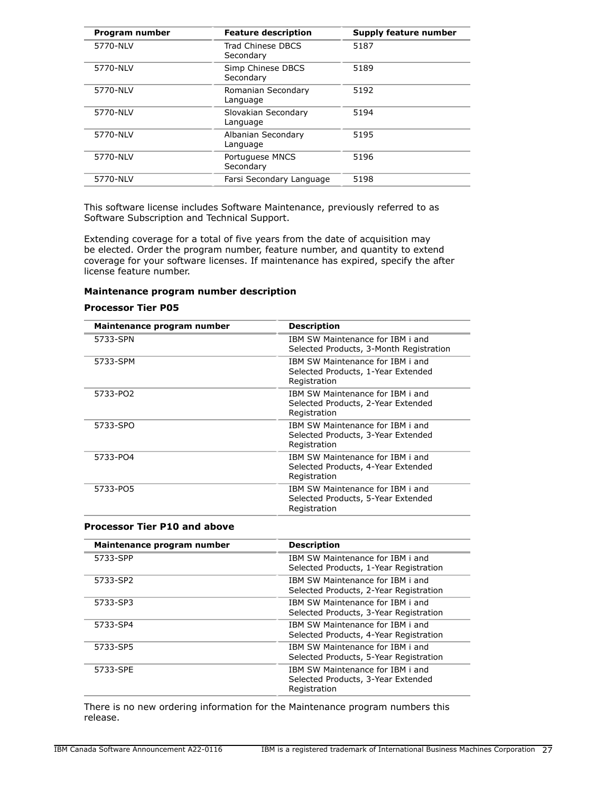| Program number | <b>Feature description</b>      | Supply feature number |
|----------------|---------------------------------|-----------------------|
| 5770-NLV       | Trad Chinese DBCS<br>Secondary  | 5187                  |
| 5770-NLV       | Simp Chinese DBCS<br>Secondary  | 5189                  |
| 5770-NLV       | Romanian Secondary<br>Language  | 5192                  |
| 5770-NLV       | Slovakian Secondary<br>Language | 5194                  |
| 5770-NLV       | Albanian Secondary<br>Language  | 5195                  |
| 5770-NLV       | Portuguese MNCS<br>Secondary    | 5196                  |
| 5770-NLV       | Farsi Secondary Language        | 5198                  |

This software license includes Software Maintenance, previously referred to as Software Subscription and Technical Support.

Extending coverage for a total of five years from the date of acquisition may be elected. Order the program number, feature number, and quantity to extend coverage for your software licenses. If maintenance has expired, specify the after license feature number.

### **Maintenance program number description**

#### **Processor Tier P05**

| Maintenance program number | <b>Description</b>                                                                     |
|----------------------------|----------------------------------------------------------------------------------------|
| 5733-SPN                   | IBM SW Maintenance for IBM i and<br>Selected Products, 3-Month Registration            |
| 5733-SPM                   | IBM SW Maintenance for IBM i and<br>Selected Products, 1-Year Extended<br>Registration |
| 5733-PO2                   | IBM SW Maintenance for IBM i and<br>Selected Products, 2-Year Extended<br>Registration |
| 5733-SPO                   | IBM SW Maintenance for IBM i and<br>Selected Products, 3-Year Extended<br>Registration |
| 5733-PO4                   | IBM SW Maintenance for IBM i and<br>Selected Products, 4-Year Extended<br>Registration |
| 5733-PO5                   | IBM SW Maintenance for IBM i and<br>Selected Products, 5-Year Extended<br>Registration |

#### **Processor Tier P10 and above**

| Maintenance program number | <b>Description</b>                                                                     |
|----------------------------|----------------------------------------------------------------------------------------|
| 5733-SPP                   | TBM SW Maintenance for TBM i and<br>Selected Products, 1-Year Registration             |
| 5733-SP2                   | IBM SW Maintenance for IBM i and<br>Selected Products, 2-Year Registration             |
| 5733-SP3                   | IBM SW Maintenance for IBM i and<br>Selected Products, 3-Year Registration             |
| 5733-SP4                   | TBM SW Maintenance for TBM i and<br>Selected Products, 4-Year Registration             |
| 5733-SP5                   | IBM SW Maintenance for IBM i and<br>Selected Products, 5-Year Registration             |
| 5733-SPE                   | IBM SW Maintenance for IBM i and<br>Selected Products, 3-Year Extended<br>Registration |

There is no new ordering information for the Maintenance program numbers this release.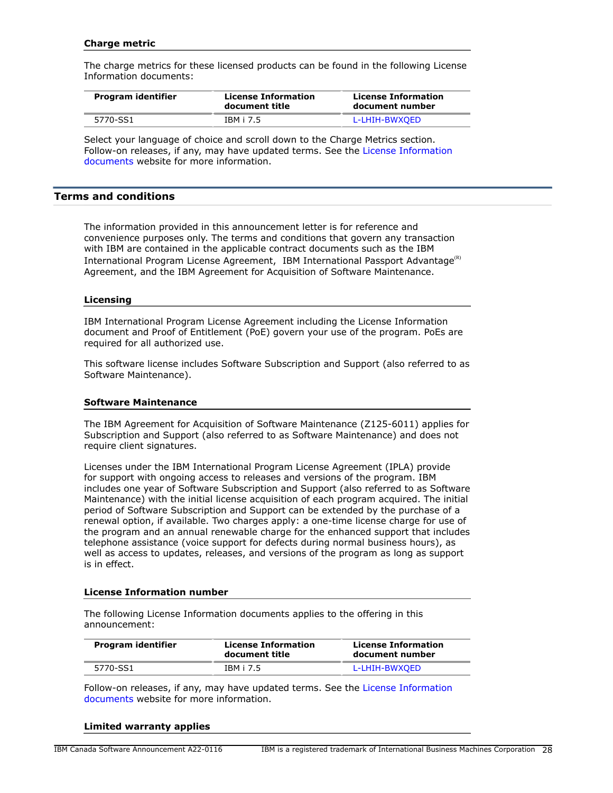### **Charge metric**

The charge metrics for these licensed products can be found in the following License Information documents:

| Program identifier | <b>License Information</b><br>document title | <b>License Information</b><br>document number |
|--------------------|----------------------------------------------|-----------------------------------------------|
| 5770-SS1           | IBM i 7.5                                    | L-LHIH-BWXOED                                 |

Select your language of choice and scroll down to the Charge Metrics section. Follow-on releases, if any, may have updated terms. See the [License Information](https://www.ibm.com/software/sla/sladb.nsf/search?OpenForm) [documents](https://www.ibm.com/software/sla/sladb.nsf/search?OpenForm) website for more information.

### <span id="page-27-0"></span>**Terms and conditions**

The information provided in this announcement letter is for reference and convenience purposes only. The terms and conditions that govern any transaction with IBM are contained in the applicable contract documents such as the IBM International Program License Agreement, IBM International Passport Advantage ${}^{\text{\tiny(R)}}$ Agreement, and the IBM Agreement for Acquisition of Software Maintenance.

#### **Licensing**

IBM International Program License Agreement including the License Information document and Proof of Entitlement (PoE) govern your use of the program. PoEs are required for all authorized use.

This software license includes Software Subscription and Support (also referred to as Software Maintenance).

#### **Software Maintenance**

The IBM Agreement for Acquisition of Software Maintenance (Z125-6011) applies for Subscription and Support (also referred to as Software Maintenance) and does not require client signatures.

Licenses under the IBM International Program License Agreement (IPLA) provide for support with ongoing access to releases and versions of the program. IBM includes one year of Software Subscription and Support (also referred to as Software Maintenance) with the initial license acquisition of each program acquired. The initial period of Software Subscription and Support can be extended by the purchase of a renewal option, if available. Two charges apply: a one-time license charge for use of the program and an annual renewable charge for the enhanced support that includes telephone assistance (voice support for defects during normal business hours), as well as access to updates, releases, and versions of the program as long as support is in effect.

### **License Information number**

The following License Information documents applies to the offering in this announcement:

| Program identifier | <b>License Information</b><br>document title | <b>License Information</b><br>document number |
|--------------------|----------------------------------------------|-----------------------------------------------|
| 5770-SS1           | IBM i 7.5                                    | L-LHIH-BWXOED                                 |

Follow-on releases, if any, may have updated terms. See the [License Information](https://www.ibm.com/software/sla/sladb.nsf/search?OpenForm) [documents](https://www.ibm.com/software/sla/sladb.nsf/search?OpenForm) website for more information.

#### **Limited warranty applies**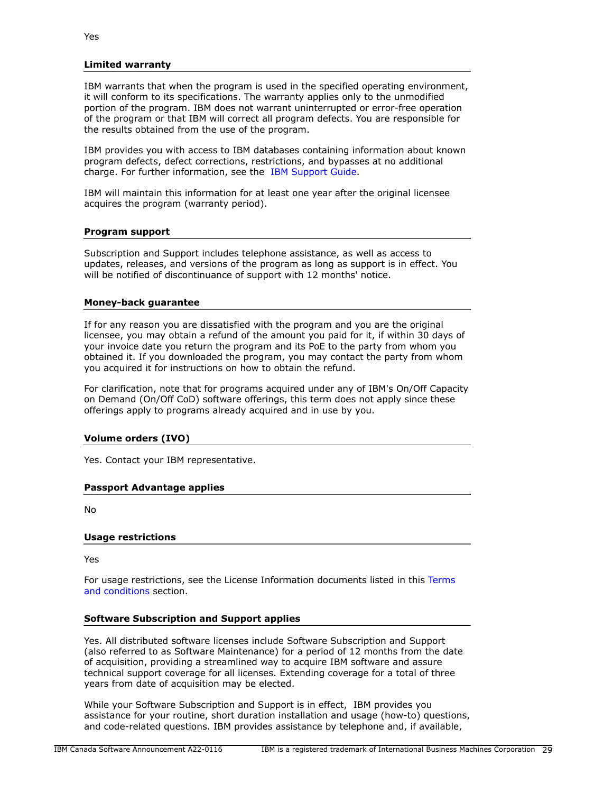### **Limited warranty**

IBM warrants that when the program is used in the specified operating environment, it will conform to its specifications. The warranty applies only to the unmodified portion of the program. IBM does not warrant uninterrupted or error-free operation of the program or that IBM will correct all program defects. You are responsible for the results obtained from the use of the program.

IBM provides you with access to IBM databases containing information about known program defects, defect corrections, restrictions, and bypasses at no additional charge. For further information, see the [IBM Support Guide](http://www.ibm.com/support/customercare/sas/f/handbook/home.html).

IBM will maintain this information for at least one year after the original licensee acquires the program (warranty period).

### **Program support**

Subscription and Support includes telephone assistance, as well as access to updates, releases, and versions of the program as long as support is in effect. You will be notified of discontinuance of support with 12 months' notice.

### **Money-back guarantee**

If for any reason you are dissatisfied with the program and you are the original licensee, you may obtain a refund of the amount you paid for it, if within 30 days of your invoice date you return the program and its PoE to the party from whom you obtained it. If you downloaded the program, you may contact the party from whom you acquired it for instructions on how to obtain the refund.

For clarification, note that for programs acquired under any of IBM's On/Off Capacity on Demand (On/Off CoD) software offerings, this term does not apply since these offerings apply to programs already acquired and in use by you.

### **Volume orders (IVO)**

Yes. Contact your IBM representative.

### **Passport Advantage applies**

No

### **Usage restrictions**

Yes

For usage restrictions, see the License Information documents listed in this [Terms](#page-27-0) [and conditions](#page-27-0) section.

# **Software Subscription and Support applies**

Yes. All distributed software licenses include Software Subscription and Support (also referred to as Software Maintenance) for a period of 12 months from the date of acquisition, providing a streamlined way to acquire IBM software and assure technical support coverage for all licenses. Extending coverage for a total of three years from date of acquisition may be elected.

While your Software Subscription and Support is in effect, IBM provides you assistance for your routine, short duration installation and usage (how-to) questions, and code-related questions. IBM provides assistance by telephone and, if available,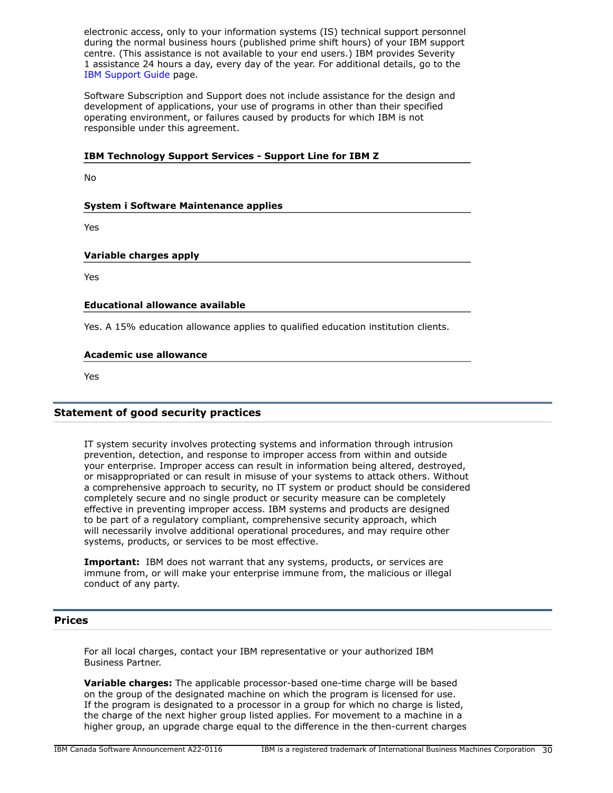electronic access, only to your information systems (IS) technical support personnel during the normal business hours (published prime shift hours) of your IBM support centre. (This assistance is not available to your end users.) IBM provides Severity 1 assistance 24 hours a day, every day of the year. For additional details, go to the [IBM Support Guide](http://www.ibm.com/support/handbook) page.

Software Subscription and Support does not include assistance for the design and development of applications, your use of programs in other than their specified operating environment, or failures caused by products for which IBM is not responsible under this agreement.

### **IBM Technology Support Services - Support Line for IBM Z**

No

# **System i Software Maintenance applies**

Yes

### **Variable charges apply**

Yes

### **Educational allowance available**

Yes. A 15% education allowance applies to qualified education institution clients.

### **Academic use allowance**

Yes

# **Statement of good security practices**

IT system security involves protecting systems and information through intrusion prevention, detection, and response to improper access from within and outside your enterprise. Improper access can result in information being altered, destroyed, or misappropriated or can result in misuse of your systems to attack others. Without a comprehensive approach to security, no IT system or product should be considered completely secure and no single product or security measure can be completely effective in preventing improper access. IBM systems and products are designed to be part of a regulatory compliant, comprehensive security approach, which will necessarily involve additional operational procedures, and may require other systems, products, or services to be most effective.

**Important:** IBM does not warrant that any systems, products, or services are immune from, or will make your enterprise immune from, the malicious or illegal conduct of any party.

### <span id="page-29-0"></span>**Prices**

For all local charges, contact your IBM representative or your authorized IBM Business Partner.

**Variable charges:** The applicable processor-based one-time charge will be based on the group of the designated machine on which the program is licensed for use. If the program is designated to a processor in a group for which no charge is listed, the charge of the next higher group listed applies. For movement to a machine in a higher group, an upgrade charge equal to the difference in the then-current charges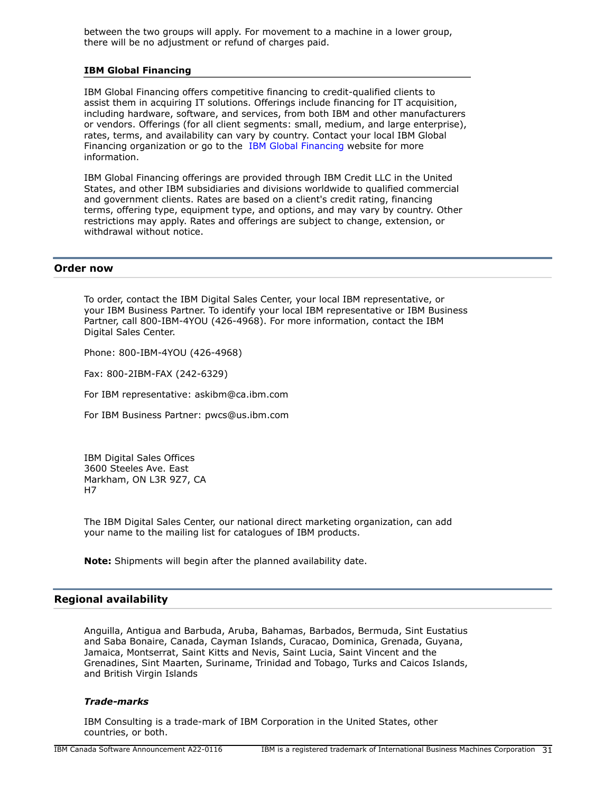between the two groups will apply. For movement to a machine in a lower group, there will be no adjustment or refund of charges paid.

### **IBM Global Financing**

IBM Global Financing offers competitive financing to credit-qualified clients to assist them in acquiring IT solutions. Offerings include financing for IT acquisition, including hardware, software, and services, from both IBM and other manufacturers or vendors. Offerings (for all client segments: small, medium, and large enterprise), rates, terms, and availability can vary by country. Contact your local IBM Global Financing organization or go to the [IBM Global Financing](http://www.ibm.com/financing) website for more information.

IBM Global Financing offerings are provided through IBM Credit LLC in the United States, and other IBM subsidiaries and divisions worldwide to qualified commercial and government clients. Rates are based on a client's credit rating, financing terms, offering type, equipment type, and options, and may vary by country. Other restrictions may apply. Rates and offerings are subject to change, extension, or withdrawal without notice.

### <span id="page-30-0"></span>**Order now**

To order, contact the IBM Digital Sales Center, your local IBM representative, or your IBM Business Partner. To identify your local IBM representative or IBM Business Partner, call 800-IBM-4YOU (426-4968). For more information, contact the IBM Digital Sales Center.

Phone: 800-IBM-4YOU (426-4968)

Fax: 800-2IBM-FAX (242-6329)

For IBM representative: askibm@ca.ibm.com

For IBM Business Partner: pwcs@us.ibm.com

IBM Digital Sales Offices 3600 Steeles Ave. East Markham, ON L3R 9Z7, CA H7

The IBM Digital Sales Center, our national direct marketing organization, can add your name to the mailing list for catalogues of IBM products.

**Note:** Shipments will begin after the planned availability date.

# <span id="page-30-1"></span>**Regional availability**

Anguilla, Antigua and Barbuda, Aruba, Bahamas, Barbados, Bermuda, Sint Eustatius and Saba Bonaire, Canada, Cayman Islands, Curacao, Dominica, Grenada, Guyana, Jamaica, Montserrat, Saint Kitts and Nevis, Saint Lucia, Saint Vincent and the Grenadines, Sint Maarten, Suriname, Trinidad and Tobago, Turks and Caicos Islands, and British Virgin Islands

### *Trade-marks*

IBM Consulting is a trade-mark of IBM Corporation in the United States, other countries, or both.